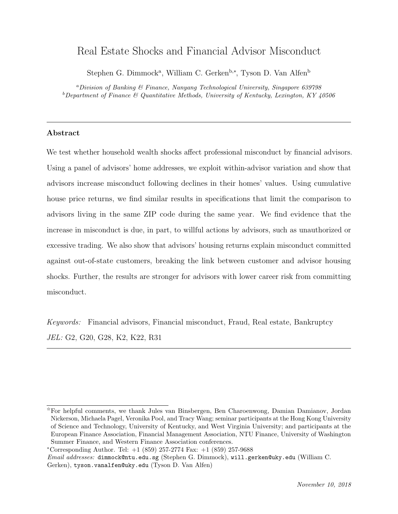# Real Estate Shocks and Financial Advisor Misconduct

Stephen G. Dimmock<sup>a</sup>, William C. Gerken<sup>b,∗</sup>, Tyson D. Van Alfen<sup>b</sup>

<sup>a</sup>Division of Banking & Finance, Nanyang Technological University, Singapore 639798  $b$ Department of Finance & Quantitative Methods, University of Kentucky, Lexington, KY  $40506$ 

### Abstract

We test whether household wealth shocks affect professional misconduct by financial advisors. Using a panel of advisors' home addresses, we exploit within-advisor variation and show that advisors increase misconduct following declines in their homes' values. Using cumulative house price returns, we find similar results in specifications that limit the comparison to advisors living in the same ZIP code during the same year. We find evidence that the increase in misconduct is due, in part, to willful actions by advisors, such as unauthorized or excessive trading. We also show that advisors' housing returns explain misconduct committed against out-of-state customers, breaking the link between customer and advisor housing shocks. Further, the results are stronger for advisors with lower career risk from committing misconduct.

Keywords: Financial advisors, Financial misconduct, Fraud, Real estate, Bankruptcy JEL: G2, G20, G28, K2, K22, R31

<sup>✩</sup>For helpful comments, we thank Jules van Binsbergen, Ben Charoenwong, Damian Damianov, Jordan Nickerson, Michaela Pagel, Veronika Pool, and Tracy Wang; seminar participants at the Hong Kong University of Science and Technology, University of Kentucky, and West Virginia University; and participants at the European Finance Association, Financial Management Association, NTU Finance, University of Washington Summer Finance, and Western Finance Association conferences.

<sup>∗</sup>Corresponding Author. Tel: +1 (859) 257-2774 Fax: +1 (859) 257-9688

Email addresses: dimmock@ntu.edu.sg (Stephen G. Dimmock), will.gerken@uky.edu (William C. Gerken), tyson.vanalfen@uky.edu (Tyson D. Van Alfen)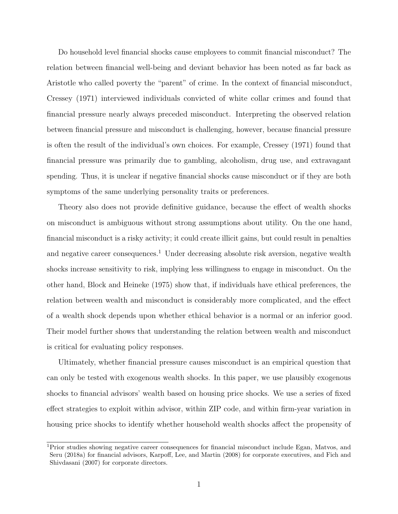Do household level financial shocks cause employees to commit financial misconduct? The relation between financial well-being and deviant behavior has been noted as far back as Aristotle who called poverty the "parent" of crime. In the context of financial misconduct, [Cressey](#page-31-0) [\(1971\)](#page-31-0) interviewed individuals convicted of white collar crimes and found that financial pressure nearly always preceded misconduct. Interpreting the observed relation between financial pressure and misconduct is challenging, however, because financial pressure is often the result of the individual's own choices. For example, [Cressey](#page-31-0) [\(1971\)](#page-31-0) found that financial pressure was primarily due to gambling, alcoholism, drug use, and extravagant spending. Thus, it is unclear if negative financial shocks cause misconduct or if they are both symptoms of the same underlying personality traits or preferences.

Theory also does not provide definitive guidance, because the effect of wealth shocks on misconduct is ambiguous without strong assumptions about utility. On the one hand, financial misconduct is a risky activity; it could create illicit gains, but could result in penalties and negative career consequences.<sup>[1](#page-1-0)</sup> Under decreasing absolute risk aversion, negative wealth shocks increase sensitivity to risk, implying less willingness to engage in misconduct. On the other hand, [Block and Heineke](#page-30-0) [\(1975\)](#page-30-0) show that, if individuals have ethical preferences, the relation between wealth and misconduct is considerably more complicated, and the effect of a wealth shock depends upon whether ethical behavior is a normal or an inferior good. Their model further shows that understanding the relation between wealth and misconduct is critical for evaluating policy responses.

Ultimately, whether financial pressure causes misconduct is an empirical question that can only be tested with exogenous wealth shocks. In this paper, we use plausibly exogenous shocks to financial advisors' wealth based on housing price shocks. We use a series of fixed effect strategies to exploit within advisor, within ZIP code, and within firm-year variation in housing price shocks to identify whether household wealth shocks affect the propensity of

<span id="page-1-0"></span><sup>1</sup>Prior studies showing negative career consequences for financial misconduct include [Egan, Matvos, and](#page-31-1) [Seru](#page-31-1) [\(2018a\)](#page-31-1) for financial advisors, [Karpoff, Lee, and Martin](#page-32-0) [\(2008\)](#page-32-0) for corporate executives, and [Fich and](#page-31-2) [Shivdasani](#page-31-2) [\(2007\)](#page-31-2) for corporate directors.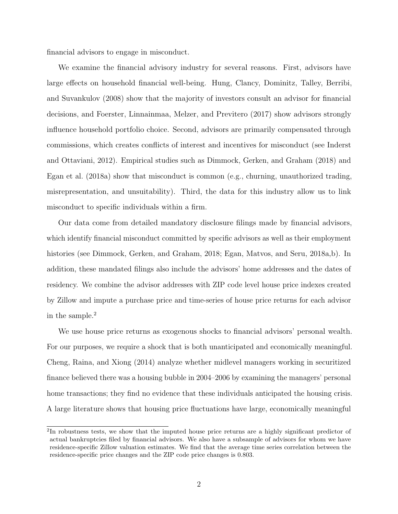financial advisors to engage in misconduct.

We examine the financial advisory industry for several reasons. First, advisors have large effects on household financial well-being. [Hung, Clancy, Dominitz, Talley, Berribi,](#page-32-1) [and Suvankulov](#page-32-1) [\(2008\)](#page-32-1) show that the majority of investors consult an advisor for financial decisions, and [Foerster, Linnainmaa, Melzer, and Previtero](#page-31-3) [\(2017\)](#page-31-3) show advisors strongly influence household portfolio choice. Second, advisors are primarily compensated through commissions, which creates conflicts of interest and incentives for misconduct (see [Inderst](#page-32-2) [and Ottaviani, 2012\)](#page-32-2). Empirical studies such as [Dimmock, Gerken, and Graham](#page-31-4) [\(2018\)](#page-31-4) and [Egan et al.](#page-31-1) [\(2018a\)](#page-31-1) show that misconduct is common (e.g., churning, unauthorized trading, misrepresentation, and unsuitability). Third, the data for this industry allow us to link misconduct to specific individuals within a firm.

Our data come from detailed mandatory disclosure filings made by financial advisors, which identify financial misconduct committed by specific advisors as well as their employment histories (see [Dimmock, Gerken, and Graham, 2018;](#page-31-4) [Egan, Matvos, and Seru, 2018a,](#page-31-1)[b\)](#page-31-5). In addition, these mandated filings also include the advisors' home addresses and the dates of residency. We combine the advisor addresses with ZIP code level house price indexes created by Zillow and impute a purchase price and time-series of house price returns for each advisor in the sample.[2](#page-2-0)

We use house price returns as exogenous shocks to financial advisors' personal wealth. For our purposes, we require a shock that is both unanticipated and economically meaningful. [Cheng, Raina, and Xiong](#page-30-1) [\(2014\)](#page-30-1) analyze whether midlevel managers working in securitized finance believed there was a housing bubble in 2004–2006 by examining the managers' personal home transactions; they find no evidence that these individuals anticipated the housing crisis. A large literature shows that housing price fluctuations have large, economically meaningful

<span id="page-2-0"></span><sup>&</sup>lt;sup>2</sup>In robustness tests, we show that the imputed house price returns are a highly significant predictor of actual bankruptcies filed by financial advisors. We also have a subsample of advisors for whom we have residence-specific Zillow valuation estimates. We find that the average time series correlation between the residence-specific price changes and the ZIP code price changes is 0.803.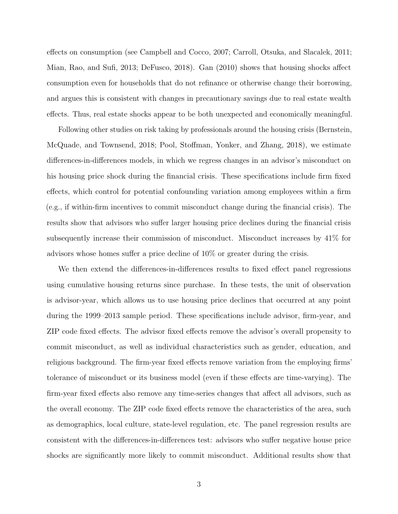effects on consumption (see [Campbell and Cocco, 2007;](#page-30-2) [Carroll, Otsuka, and Slacalek, 2011;](#page-30-3) [Mian, Rao, and Sufi, 2013;](#page-32-3) [DeFusco, 2018\)](#page-31-6). [Gan](#page-31-7) [\(2010\)](#page-31-7) shows that housing shocks affect consumption even for households that do not refinance or otherwise change their borrowing, and argues this is consistent with changes in precautionary savings due to real estate wealth effects. Thus, real estate shocks appear to be both unexpected and economically meaningful.

Following other studies on risk taking by professionals around the housing crisis [\(Bernstein,](#page-30-4) [McQuade, and Townsend, 2018;](#page-30-4) [Pool, Stoffman, Yonker, and Zhang, 2018\)](#page-33-0), we estimate differences-in-differences models, in which we regress changes in an advisor's misconduct on his housing price shock during the financial crisis. These specifications include firm fixed effects, which control for potential confounding variation among employees within a firm (e.g., if within-firm incentives to commit misconduct change during the financial crisis). The results show that advisors who suffer larger housing price declines during the financial crisis subsequently increase their commission of misconduct. Misconduct increases by 41% for advisors whose homes suffer a price decline of 10% or greater during the crisis.

We then extend the differences-in-differences results to fixed effect panel regressions using cumulative housing returns since purchase. In these tests, the unit of observation is advisor-year, which allows us to use housing price declines that occurred at any point during the 1999–2013 sample period. These specifications include advisor, firm-year, and ZIP code fixed effects. The advisor fixed effects remove the advisor's overall propensity to commit misconduct, as well as individual characteristics such as gender, education, and religious background. The firm-year fixed effects remove variation from the employing firms' tolerance of misconduct or its business model (even if these effects are time-varying). The firm-year fixed effects also remove any time-series changes that affect all advisors, such as the overall economy. The ZIP code fixed effects remove the characteristics of the area, such as demographics, local culture, state-level regulation, etc. The panel regression results are consistent with the differences-in-differences test: advisors who suffer negative house price shocks are significantly more likely to commit misconduct. Additional results show that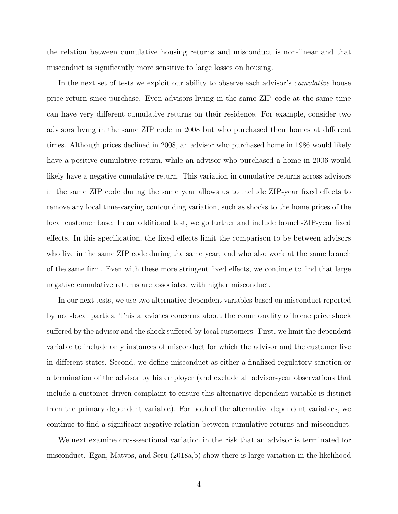the relation between cumulative housing returns and misconduct is non-linear and that misconduct is significantly more sensitive to large losses on housing.

In the next set of tests we exploit our ability to observe each advisor's *cumulative* house price return since purchase. Even advisors living in the same ZIP code at the same time can have very different cumulative returns on their residence. For example, consider two advisors living in the same ZIP code in 2008 but who purchased their homes at different times. Although prices declined in 2008, an advisor who purchased home in 1986 would likely have a positive cumulative return, while an advisor who purchased a home in 2006 would likely have a negative cumulative return. This variation in cumulative returns across advisors in the same ZIP code during the same year allows us to include ZIP-year fixed effects to remove any local time-varying confounding variation, such as shocks to the home prices of the local customer base. In an additional test, we go further and include branch-ZIP-year fixed effects. In this specification, the fixed effects limit the comparison to be between advisors who live in the same ZIP code during the same year, and who also work at the same branch of the same firm. Even with these more stringent fixed effects, we continue to find that large negative cumulative returns are associated with higher misconduct.

In our next tests, we use two alternative dependent variables based on misconduct reported by non-local parties. This alleviates concerns about the commonality of home price shock suffered by the advisor and the shock suffered by local customers. First, we limit the dependent variable to include only instances of misconduct for which the advisor and the customer live in different states. Second, we define misconduct as either a finalized regulatory sanction or a termination of the advisor by his employer (and exclude all advisor-year observations that include a customer-driven complaint to ensure this alternative dependent variable is distinct from the primary dependent variable). For both of the alternative dependent variables, we continue to find a significant negative relation between cumulative returns and misconduct.

We next examine cross-sectional variation in the risk that an advisor is terminated for misconduct. [Egan, Matvos, and Seru](#page-31-1) [\(2018a](#page-31-1)[,b\)](#page-31-5) show there is large variation in the likelihood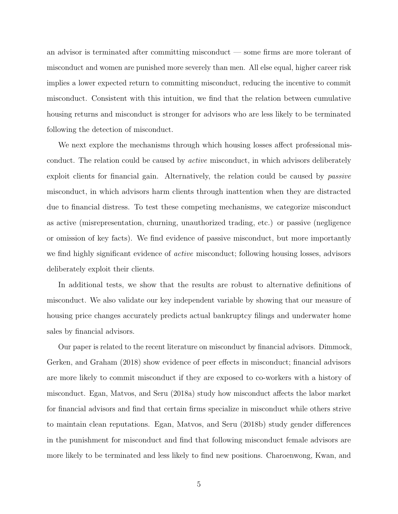an advisor is terminated after committing misconduct — some firms are more tolerant of misconduct and women are punished more severely than men. All else equal, higher career risk implies a lower expected return to committing misconduct, reducing the incentive to commit misconduct. Consistent with this intuition, we find that the relation between cumulative housing returns and misconduct is stronger for advisors who are less likely to be terminated following the detection of misconduct.

We next explore the mechanisms through which housing losses affect professional misconduct. The relation could be caused by active misconduct, in which advisors deliberately exploit clients for financial gain. Alternatively, the relation could be caused by *passive* misconduct, in which advisors harm clients through inattention when they are distracted due to financial distress. To test these competing mechanisms, we categorize misconduct as active (misrepresentation, churning, unauthorized trading, etc.) or passive (negligence or omission of key facts). We find evidence of passive misconduct, but more importantly we find highly significant evidence of *active* misconduct; following housing losses, advisors deliberately exploit their clients.

In additional tests, we show that the results are robust to alternative definitions of misconduct. We also validate our key independent variable by showing that our measure of housing price changes accurately predicts actual bankruptcy filings and underwater home sales by financial advisors.

Our paper is related to the recent literature on misconduct by financial advisors. [Dimmock,](#page-31-4) [Gerken, and Graham](#page-31-4) [\(2018\)](#page-31-4) show evidence of peer effects in misconduct; financial advisors are more likely to commit misconduct if they are exposed to co-workers with a history of misconduct. [Egan, Matvos, and Seru](#page-31-1) [\(2018a\)](#page-31-1) study how misconduct affects the labor market for financial advisors and find that certain firms specialize in misconduct while others strive to maintain clean reputations. [Egan, Matvos, and Seru](#page-31-5) [\(2018b\)](#page-31-5) study gender differences in the punishment for misconduct and find that following misconduct female advisors are more likely to be terminated and less likely to find new positions. [Charoenwong, Kwan, and](#page-30-5)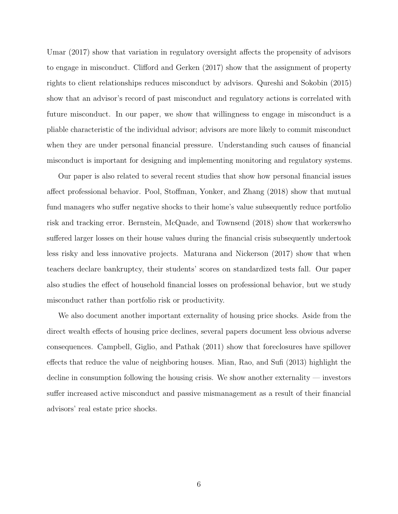[Umar](#page-30-5) [\(2017\)](#page-30-5) show that variation in regulatory oversight affects the propensity of advisors to engage in misconduct. [Clifford and Gerken](#page-30-6) [\(2017\)](#page-30-6) show that the assignment of property rights to client relationships reduces misconduct by advisors. [Qureshi and Sokobin](#page-33-1) [\(2015\)](#page-33-1) show that an advisor's record of past misconduct and regulatory actions is correlated with future misconduct. In our paper, we show that willingness to engage in misconduct is a pliable characteristic of the individual advisor; advisors are more likely to commit misconduct when they are under personal financial pressure. Understanding such causes of financial misconduct is important for designing and implementing monitoring and regulatory systems.

Our paper is also related to several recent studies that show how personal financial issues affect professional behavior. [Pool, Stoffman, Yonker, and Zhang](#page-33-0) [\(2018\)](#page-33-0) show that mutual fund managers who suffer negative shocks to their home's value subsequently reduce portfolio risk and tracking error. [Bernstein, McQuade, and Townsend](#page-30-4) [\(2018\)](#page-30-4) show that workerswho suffered larger losses on their house values during the financial crisis subsequently undertook less risky and less innovative projects. [Maturana and Nickerson](#page-32-4) [\(2017\)](#page-32-4) show that when teachers declare bankruptcy, their students' scores on standardized tests fall. Our paper also studies the effect of household financial losses on professional behavior, but we study misconduct rather than portfolio risk or productivity.

We also document another important externality of housing price shocks. Aside from the direct wealth effects of housing price declines, several papers document less obvious adverse consequences. [Campbell, Giglio, and Pathak](#page-30-7) [\(2011\)](#page-30-7) show that foreclosures have spillover effects that reduce the value of neighboring houses. [Mian, Rao, and Sufi](#page-32-3) [\(2013\)](#page-32-3) highlight the decline in consumption following the housing crisis. We show another externality — investors suffer increased active misconduct and passive mismanagement as a result of their financial advisors' real estate price shocks.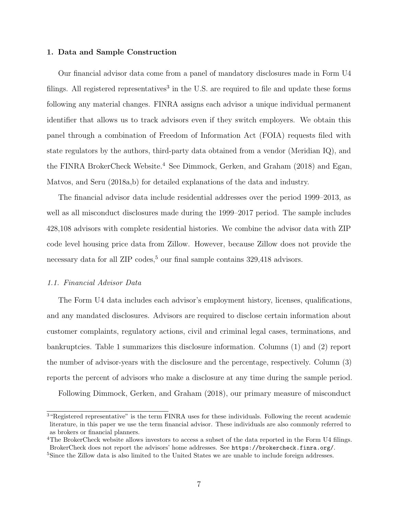### 1. Data and Sample Construction

Our financial advisor data come from a panel of mandatory disclosures made in Form U4 filings. All registered representatives<sup>[3](#page-7-0)</sup> in the U.S. are required to file and update these forms following any material changes. FINRA assigns each advisor a unique individual permanent identifier that allows us to track advisors even if they switch employers. We obtain this panel through a combination of Freedom of Information Act (FOIA) requests filed with state regulators by the authors, third-party data obtained from a vendor (Meridian IQ), and the FINRA BrokerCheck Website.<sup>[4](#page-7-1)</sup> See [Dimmock, Gerken, and Graham](#page-31-4) [\(2018\)](#page-31-4) and [Egan,](#page-31-1) [Matvos, and Seru](#page-31-1) [\(2018a,](#page-31-1)[b\)](#page-31-5) for detailed explanations of the data and industry.

The financial advisor data include residential addresses over the period 1999–2013, as well as all misconduct disclosures made during the 1999–2017 period. The sample includes 428,108 advisors with complete residential histories. We combine the advisor data with ZIP code level housing price data from Zillow. However, because Zillow does not provide the necessary data for all ZIP codes,  $5$  our final sample contains 329,418 advisors.

### 1.1. Financial Advisor Data

The Form U4 data includes each advisor's employment history, licenses, qualifications, and any mandated disclosures. Advisors are required to disclose certain information about customer complaints, regulatory actions, civil and criminal legal cases, terminations, and bankruptcies. Table [1](#page-39-0) summarizes this disclosure information. Columns (1) and (2) report the number of advisor-years with the disclosure and the percentage, respectively. Column (3) reports the percent of advisors who make a disclosure at any time during the sample period.

Following [Dimmock, Gerken, and Graham](#page-31-4) [\(2018\)](#page-31-4), our primary measure of misconduct

<span id="page-7-0"></span><sup>3</sup>"Registered representative" is the term FINRA uses for these individuals. Following the recent academic literature, in this paper we use the term financial advisor. These individuals are also commonly referred to as brokers or financial planners.

<span id="page-7-1"></span><sup>4</sup>The BrokerCheck website allows investors to access a subset of the data reported in the Form U4 filings. BrokerCheck does not report the advisors' home addresses. See [https://brokercheck.finra.org/]( https://brokercheck.finra.org/).

<span id="page-7-2"></span><sup>5</sup>Since the Zillow data is also limited to the United States we are unable to include foreign addresses.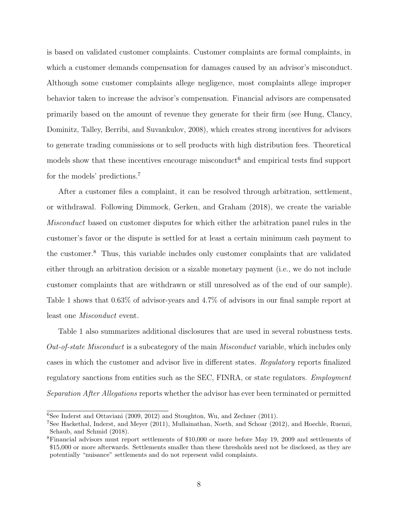is based on validated customer complaints. Customer complaints are formal complaints, in which a customer demands compensation for damages caused by an advisor's misconduct. Although some customer complaints allege negligence, most complaints allege improper behavior taken to increase the advisor's compensation. Financial advisors are compensated primarily based on the amount of revenue they generate for their firm (see [Hung, Clancy,](#page-32-1) [Dominitz, Talley, Berribi, and Suvankulov, 2008\)](#page-32-1), which creates strong incentives for advisors to generate trading commissions or to sell products with high distribution fees. Theoretical models show that these incentives encourage misconduct<sup>[6](#page-8-0)</sup> and empirical tests find support for the models' predictions.[7](#page-8-1)

After a customer files a complaint, it can be resolved through arbitration, settlement, or withdrawal. Following [Dimmock, Gerken, and Graham](#page-31-4) [\(2018\)](#page-31-4), we create the variable Misconduct based on customer disputes for which either the arbitration panel rules in the customer's favor or the dispute is settled for at least a certain minimum cash payment to the customer.[8](#page-8-2) Thus, this variable includes only customer complaints that are validated either through an arbitration decision or a sizable monetary payment (i.e., we do not include customer complaints that are withdrawn or still unresolved as of the end of our sample). Table [1](#page-39-0) shows that 0.63% of advisor-years and 4.7% of advisors in our final sample report at least one Misconduct event.

Table [1](#page-39-0) also summarizes additional disclosures that are used in several robustness tests. Out-of-state Misconduct is a subcategory of the main Misconduct variable, which includes only cases in which the customer and advisor live in different states. Regulatory reports finalized regulatory sanctions from entities such as the SEC, FINRA, or state regulators. Employment Separation After Allegations reports whether the advisor has ever been terminated or permitted

<span id="page-8-0"></span> ${}^{6}$ See [Inderst and Ottaviani](#page-32-5) [\(2009,](#page-32-5) [2012\)](#page-32-2) and [Stoughton, Wu, and Zechner](#page-33-2) [\(2011\)](#page-33-2).

<span id="page-8-1"></span><sup>7</sup>See [Hackethal, Inderst, and Meyer](#page-31-8) [\(2011\)](#page-31-8), [Mullainathan, Noeth, and Schoar](#page-32-6) [\(2012\)](#page-32-6), and [Hoechle, Ruenzi,](#page-31-9) [Schaub, and Schmid](#page-31-9) [\(2018\)](#page-31-9).

<span id="page-8-2"></span><sup>8</sup>Financial advisors must report settlements of \$10,000 or more before May 19, 2009 and settlements of \$15,000 or more afterwards. Settlements smaller than these thresholds need not be disclosed, as they are potentially "nuisance" settlements and do not represent valid complaints.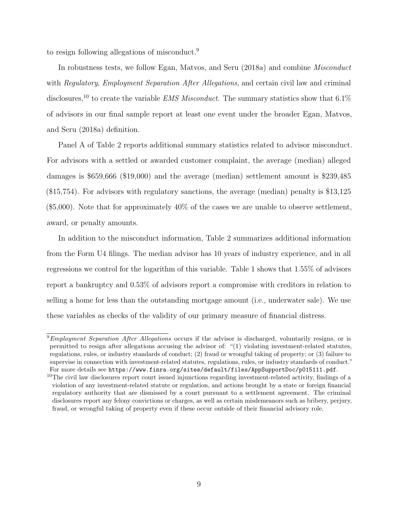to resign following allegations of misconduct.[9](#page-9-0)

In robustness tests, we follow [Egan, Matvos, and Seru](#page-31-1) [\(2018a\)](#page-31-1) and combine Misconduct with Regulatory, Employment Separation After Allegations, and certain civil law and criminal disclosures,<sup>[10](#page-9-1)</sup> to create the variable *EMS Misconduct*. The summary statistics show that  $6.1\%$ of advisors in our final sample report at least one event under the broader [Egan, Matvos,](#page-31-1) [and Seru](#page-31-1) [\(2018a\)](#page-31-1) definition.

Panel A of Table [2](#page-40-0) reports additional summary statistics related to advisor misconduct. For advisors with a settled or awarded customer complaint, the average (median) alleged damages is \$659,666 (\$19,000) and the average (median) settlement amount is \$239,485 (\$15,754). For advisors with regulatory sanctions, the average (median) penalty is \$13,125 (\$5,000). Note that for approximately 40% of the cases we are unable to observe settlement, award, or penalty amounts.

In addition to the misconduct information, Table [2](#page-40-0) summarizes additional information from the Form U4 filings. The median advisor has 10 years of industry experience, and in all regressions we control for the logarithm of this variable. Table [1](#page-39-0) shows that 1.55% of advisors report a bankruptcy and 0.53% of advisors report a compromise with creditors in relation to selling a home for less than the outstanding mortgage amount (i.e., underwater sale). We use these variables as checks of the validity of our primary measure of financial distress.

<span id="page-9-0"></span> $9$ Employment Separation After Allegations occurs if the advisor is discharged, voluntarily resigns, or is permitted to resign after allegations accusing the advisor of: "(1) violating investment-related statutes, regulations, rules, or industry standards of conduct; (2) fraud or wrongful taking of property; or (3) failure to supervise in connection with investment-related statutes, regulations, rules, or industry standards of conduct." For more details see <https://www.finra.org/sites/default/files/AppSupportDoc/p015111.pdf>.

<span id="page-9-1"></span><sup>&</sup>lt;sup>10</sup>The civil law disclosures report court issued injunctions regarding investment-related activity, findings of a violation of any investment-related statute or regulation, and actions brought by a state or foreign financial regulatory authority that are dismissed by a court pursuant to a settlement agreement. The criminal disclosures report any felony convictions or charges, as well as certain misdemeanors such as bribery, perjury, fraud, or wrongful taking of property even if these occur outside of their financial advisory role.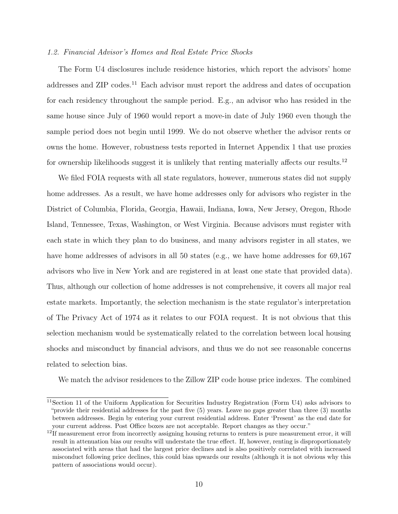#### 1.2. Financial Advisor's Homes and Real Estate Price Shocks

The Form U4 disclosures include residence histories, which report the advisors' home addresses and ZIP codes.<sup>[11](#page-10-0)</sup> Each advisor must report the address and dates of occupation for each residency throughout the sample period. E.g., an advisor who has resided in the same house since July of 1960 would report a move-in date of July 1960 even though the sample period does not begin until 1999. We do not observe whether the advisor rents or owns the home. However, robustness tests reported in Internet Appendix 1 that use proxies for ownership likelihoods suggest it is unlikely that renting materially affects our results.<sup>[12](#page-10-1)</sup>

We filed FOIA requests with all state regulators, however, numerous states did not supply home addresses. As a result, we have home addresses only for advisors who register in the District of Columbia, Florida, Georgia, Hawaii, Indiana, Iowa, New Jersey, Oregon, Rhode Island, Tennessee, Texas, Washington, or West Virginia. Because advisors must register with each state in which they plan to do business, and many advisors register in all states, we have home addresses of advisors in all 50 states (e.g., we have home addresses for 69,167 advisors who live in New York and are registered in at least one state that provided data). Thus, although our collection of home addresses is not comprehensive, it covers all major real estate markets. Importantly, the selection mechanism is the state regulator's interpretation of The Privacy Act of 1974 as it relates to our FOIA request. It is not obvious that this selection mechanism would be systematically related to the correlation between local housing shocks and misconduct by financial advisors, and thus we do not see reasonable concerns related to selection bias.

We match the advisor residences to the Zillow ZIP code house price indexes. The combined

<span id="page-10-0"></span> $11$ Section 11 of the Uniform Application for Securities Industry Registration (Form U4) asks advisors to "provide their residential addresses for the past five (5) years. Leave no gaps greater than three (3) months between addresses. Begin by entering your current residential address. Enter 'Present' as the end date for your current address. Post Office boxes are not acceptable. Report changes as they occur."

<span id="page-10-1"></span> $12$ If measurement error from incorrectly assigning housing returns to renters is pure measurement error, it will result in attenuation bias our results will understate the true effect. If, however, renting is disproportionately associated with areas that had the largest price declines and is also positively correlated with increased misconduct following price declines, this could bias upwards our results (although it is not obvious why this pattern of associations would occur).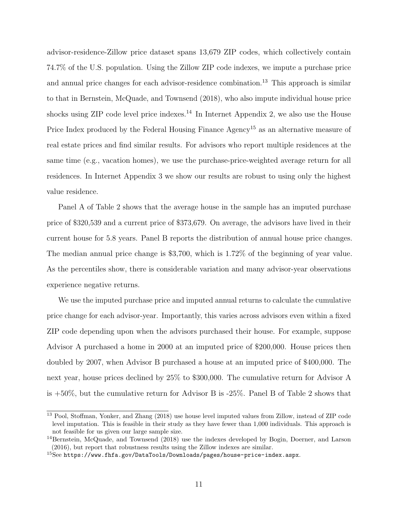advisor-residence-Zillow price dataset spans 13,679 ZIP codes, which collectively contain 74.7% of the U.S. population. Using the Zillow ZIP code indexes, we impute a purchase price and annual price changes for each advisor-residence combination.[13](#page-11-0) This approach is similar to that in [Bernstein, McQuade, and Townsend](#page-30-4) [\(2018\)](#page-30-4), who also impute individual house price shocks using  $\rm ZIP$  code level price indexes.<sup>[14](#page-11-1)</sup> In Internet Appendix 2, we also use the House Price Index produced by the Federal Housing Finance Agency<sup>[15](#page-11-2)</sup> as an alternative measure of real estate prices and find similar results. For advisors who report multiple residences at the same time (e.g., vacation homes), we use the purchase-price-weighted average return for all residences. In Internet Appendix 3 we show our results are robust to using only the highest value residence.

Panel A of Table [2](#page-40-0) shows that the average house in the sample has an imputed purchase price of \$320,539 and a current price of \$373,679. On average, the advisors have lived in their current house for 5.8 years. Panel B reports the distribution of annual house price changes. The median annual price change is \$3,700, which is 1.72% of the beginning of year value. As the percentiles show, there is considerable variation and many advisor-year observations experience negative returns.

We use the imputed purchase price and imputed annual returns to calculate the cumulative price change for each advisor-year. Importantly, this varies across advisors even within a fixed ZIP code depending upon when the advisors purchased their house. For example, suppose Advisor A purchased a home in 2000 at an imputed price of \$200,000. House prices then doubled by 2007, when Advisor B purchased a house at an imputed price of \$400,000. The next year, house prices declined by 25% to \$300,000. The cumulative return for Advisor A is +50%, but the cumulative return for Advisor B is -25%. Panel B of Table [2](#page-40-0) shows that

<span id="page-11-0"></span><sup>&</sup>lt;sup>13</sup> [Pool, Stoffman, Yonker, and Zhang](#page-33-0) [\(2018\)](#page-33-0) use house level imputed values from Zillow, instead of ZIP code level imputation. This is feasible in their study as they have fewer than 1,000 individuals. This approach is not feasible for us given our large sample size.

<span id="page-11-1"></span><sup>&</sup>lt;sup>14</sup>[Bernstein, McQuade, and Townsend](#page-30-4) [\(2018\)](#page-30-4) use the indexes developed by [Bogin, Doerner, and Larson](#page-30-8) [\(2016\)](#page-30-8), but report that robustness results using the Zillow indexes are similar.

<span id="page-11-2"></span><sup>15</sup>See <https://www.fhfa.gov/DataTools/Downloads/pages/house-price-index.aspx>.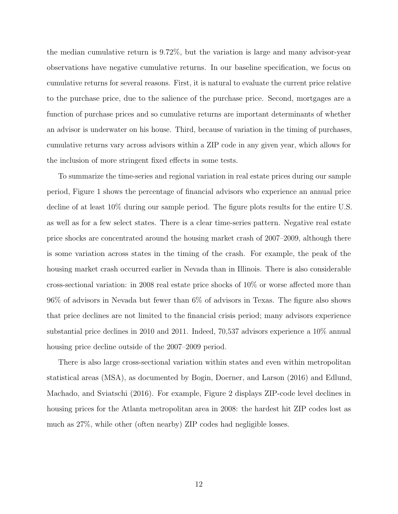the median cumulative return is 9.72%, but the variation is large and many advisor-year observations have negative cumulative returns. In our baseline specification, we focus on cumulative returns for several reasons. First, it is natural to evaluate the current price relative to the purchase price, due to the salience of the purchase price. Second, mortgages are a function of purchase prices and so cumulative returns are important determinants of whether an advisor is underwater on his house. Third, because of variation in the timing of purchases, cumulative returns vary across advisors within a ZIP code in any given year, which allows for the inclusion of more stringent fixed effects in some tests.

To summarize the time-series and regional variation in real estate prices during our sample period, Figure 1 shows the percentage of financial advisors who experience an annual price decline of at least 10% during our sample period. The figure plots results for the entire U.S. as well as for a few select states. There is a clear time-series pattern. Negative real estate price shocks are concentrated around the housing market crash of 2007–2009, although there is some variation across states in the timing of the crash. For example, the peak of the housing market crash occurred earlier in Nevada than in Illinois. There is also considerable cross-sectional variation: in 2008 real estate price shocks of 10% or worse affected more than 96% of advisors in Nevada but fewer than 6% of advisors in Texas. The figure also shows that price declines are not limited to the financial crisis period; many advisors experience substantial price declines in 2010 and 2011. Indeed, 70,537 advisors experience a 10% annual housing price decline outside of the 2007–2009 period.

There is also large cross-sectional variation within states and even within metropolitan statistical areas (MSA), as documented by [Bogin, Doerner, and Larson](#page-30-8) [\(2016\)](#page-30-8) and [Edlund,](#page-31-10) [Machado, and Sviatschi](#page-31-10) [\(2016\)](#page-31-10). For example, Figure 2 displays ZIP-code level declines in housing prices for the Atlanta metropolitan area in 2008: the hardest hit ZIP codes lost as much as 27%, while other (often nearby) ZIP codes had negligible losses.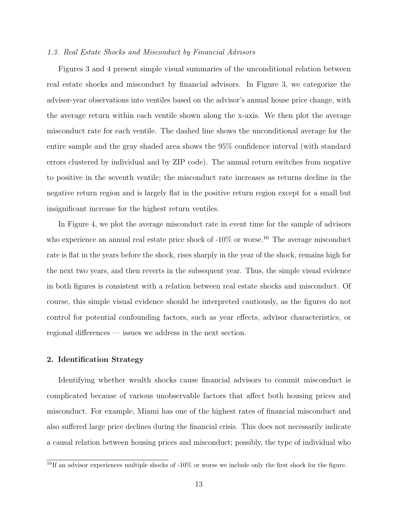#### 1.3. Real Estate Shocks and Misconduct by Financial Advisors

Figures 3 and 4 present simple visual summaries of the unconditional relation between real estate shocks and misconduct by financial advisors. In Figure 3, we categorize the advisor-year observations into ventiles based on the advisor's annual house price change, with the average return within each ventile shown along the x-axis. We then plot the average misconduct rate for each ventile. The dashed line shows the unconditional average for the entire sample and the gray shaded area shows the 95% confidence interval (with standard errors clustered by individual and by ZIP code). The annual return switches from negative to positive in the seventh ventile; the misconduct rate increases as returns decline in the negative return region and is largely flat in the positive return region except for a small but insignificant increase for the highest return ventiles.

In Figure 4, we plot the average misconduct rate in event time for the sample of advisors who experience an annual real estate price shock of  $-10\%$  or worse.<sup>[16](#page-13-0)</sup> The average misconduct rate is flat in the years before the shock, rises sharply in the year of the shock, remains high for the next two years, and then reverts in the subsequent year. Thus, the simple visual evidence in both figures is consistent with a relation between real estate shocks and misconduct. Of course, this simple visual evidence should be interpreted cautiously, as the figures do not control for potential confounding factors, such as year effects, advisor characteristics, or regional differences — issues we address in the next section.

### 2. Identification Strategy

Identifying whether wealth shocks cause financial advisors to commit misconduct is complicated because of various unobservable factors that affect both housing prices and misconduct. For example, Miami has one of the highest rates of financial misconduct and also suffered large price declines during the financial crisis. This does not necessarily indicate a causal relation between housing prices and misconduct; possibly, the type of individual who

<span id="page-13-0"></span> $\frac{16}{16}$ If an advisor experiences multiple shocks of -10% or worse we include only the first shock for the figure.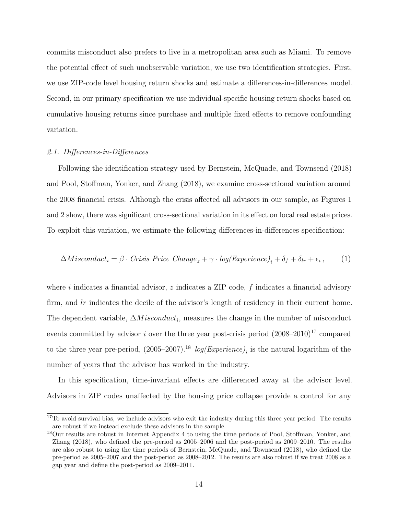commits misconduct also prefers to live in a metropolitan area such as Miami. To remove the potential effect of such unobservable variation, we use two identification strategies. First, we use ZIP-code level housing return shocks and estimate a differences-in-differences model. Second, in our primary specification we use individual-specific housing return shocks based on cumulative housing returns since purchase and multiple fixed effects to remove confounding variation.

#### 2.1. Differences-in-Differences

Following the identification strategy used by [Bernstein, McQuade, and Townsend](#page-30-4) [\(2018\)](#page-30-4) and [Pool, Stoffman, Yonker, and Zhang](#page-33-0) [\(2018\)](#page-33-0), we examine cross-sectional variation around the 2008 financial crisis. Although the crisis affected all advisors in our sample, as Figures 1 and 2 show, there was significant cross-sectional variation in its effect on local real estate prices. To exploit this variation, we estimate the following differences-in-differences specification:

$$
\Delta Misconduct_i = \beta \cdot Crisis\ Price\ Change_z + \gamma \cdot log(Experiment_e)_i + \delta_f + \delta_{lr} + \epsilon_i, \qquad (1)
$$

where i indicates a financial advisor,  $z$  indicates a ZIP code,  $f$  indicates a financial advisory firm, and lr indicates the decile of the advisor's length of residency in their current home. The dependent variable,  $\Delta Missouri$ , measures the change in the number of misconduct events committed by advisor i over the three year post-crisis period  $(2008-2010)^{17}$  $(2008-2010)^{17}$  $(2008-2010)^{17}$  compared to the three year pre-period,  $(2005-2007)^{18}$  $(2005-2007)^{18}$  $(2005-2007)^{18}$   $log(Experiment_e)_i$  is the natural logarithm of the number of years that the advisor has worked in the industry.

In this specification, time-invariant effects are differenced away at the advisor level. Advisors in ZIP codes unaffected by the housing price collapse provide a control for any

<span id="page-14-0"></span> $17$ To avoid survival bias, we include advisors who exit the industry during this three year period. The results are robust if we instead exclude these advisors in the sample.

<span id="page-14-1"></span><sup>&</sup>lt;sup>18</sup>Our results are robust in Internet Appendix 4 to using the time periods of [Pool, Stoffman, Yonker, and](#page-33-0) [Zhang](#page-33-0) [\(2018\)](#page-33-0), who defined the pre-period as 2005–2006 and the post-period as 2009–2010. The results are also robust to using the time periods of [Bernstein, McQuade, and Townsend](#page-30-4) [\(2018\)](#page-30-4), who defined the pre-period as 2005–2007 and the post-period as 2008–2012. The results are also robust if we treat 2008 as a gap year and define the post-period as 2009–2011.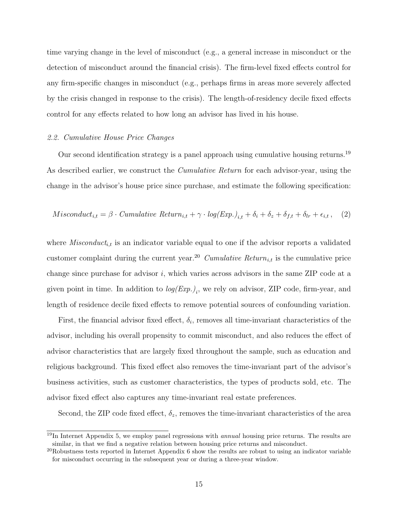time varying change in the level of misconduct (e.g., a general increase in misconduct or the detection of misconduct around the financial crisis). The firm-level fixed effects control for any firm-specific changes in misconduct (e.g., perhaps firms in areas more severely affected by the crisis changed in response to the crisis). The length-of-residency decile fixed effects control for any effects related to how long an advisor has lived in his house.

#### 2.2. Cumulative House Price Changes

Our second identification strategy is a panel approach using cumulative housing returns.<sup>[19](#page-15-0)</sup> As described earlier, we construct the *Cumulative Return* for each advisor-year, using the change in the advisor's house price since purchase, and estimate the following specification:

$$
M is conduct_{i,t} = \beta \cdot Cumulative\ Return_{i,t} + \gamma \cdot log(Exp.)_{i,t} + \delta_i + \delta_z + \delta_{f,t} + \delta_{lr} + \epsilon_{i,t}, \quad (2)
$$

where  $M is conduct_{i,t}$  is an indicator variable equal to one if the advisor reports a validated customer complaint during the current year.<sup>[20](#page-15-1)</sup> Cumulative Return<sub>i,t</sub> is the cumulative price change since purchase for advisor  $i$ , which varies across advisors in the same ZIP code at a given point in time. In addition to  $log(Exp.)_i$ , we rely on advisor, ZIP code, firm-year, and length of residence decile fixed effects to remove potential sources of confounding variation.

First, the financial advisor fixed effect,  $\delta_i$ , removes all time-invariant characteristics of the advisor, including his overall propensity to commit misconduct, and also reduces the effect of advisor characteristics that are largely fixed throughout the sample, such as education and religious background. This fixed effect also removes the time-invariant part of the advisor's business activities, such as customer characteristics, the types of products sold, etc. The advisor fixed effect also captures any time-invariant real estate preferences.

Second, the ZIP code fixed effect,  $\delta_z$ , removes the time-invariant characteristics of the area

<span id="page-15-0"></span> $19$ In Internet Appendix 5, we employ panel regressions with *annual* housing price returns. The results are similar, in that we find a negative relation between housing price returns and misconduct.

<span id="page-15-1"></span> $^{20}$ Robustness tests reported in Internet Appendix 6 show the results are robust to using an indicator variable for misconduct occurring in the subsequent year or during a three-year window.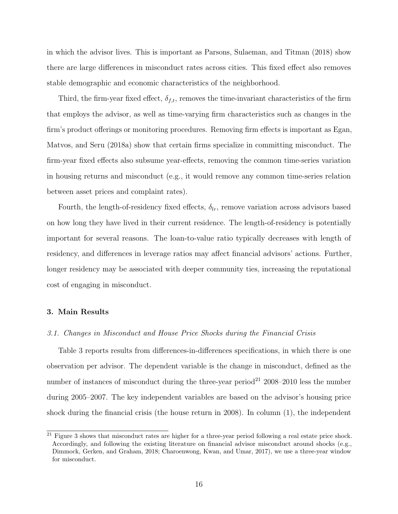in which the advisor lives. This is important as [Parsons, Sulaeman, and Titman](#page-32-7) [\(2018\)](#page-32-7) show there are large differences in misconduct rates across cities. This fixed effect also removes stable demographic and economic characteristics of the neighborhood.

Third, the firm-year fixed effect,  $\delta_{f,t}$ , removes the time-invariant characteristics of the firm that employs the advisor, as well as time-varying firm characteristics such as changes in the firm's product offerings or monitoring procedures. Removing firm effects is important as [Egan,](#page-31-1) [Matvos, and Seru](#page-31-1) [\(2018a\)](#page-31-1) show that certain firms specialize in committing misconduct. The firm-year fixed effects also subsume year-effects, removing the common time-series variation in housing returns and misconduct (e.g., it would remove any common time-series relation between asset prices and complaint rates).

Fourth, the length-of-residency fixed effects,  $\delta_{lr}$ , remove variation across advisors based on how long they have lived in their current residence. The length-of-residency is potentially important for several reasons. The loan-to-value ratio typically decreases with length of residency, and differences in leverage ratios may affect financial advisors' actions. Further, longer residency may be associated with deeper community ties, increasing the reputational cost of engaging in misconduct.

### 3. Main Results

#### 3.1. Changes in Misconduct and House Price Shocks during the Financial Crisis

Table [3](#page-41-0) reports results from differences-in-differences specifications, in which there is one observation per advisor. The dependent variable is the change in misconduct, defined as the number of instances of misconduct during the three-year period<sup>[21](#page-16-0)</sup> 2008–2010 less the number during 2005–2007. The key independent variables are based on the advisor's housing price shock during the financial crisis (the house return in 2008). In column (1), the independent

<span id="page-16-0"></span><sup>&</sup>lt;sup>21</sup> Figure 3 shows that misconduct rates are higher for a three-year period following a real estate price shock. Accordingly, and following the existing literature on financial advisor misconduct around shocks (e.g., [Dimmock, Gerken, and Graham, 2018;](#page-31-4) [Charoenwong, Kwan, and Umar, 2017\)](#page-30-5), we use a three-year window for misconduct.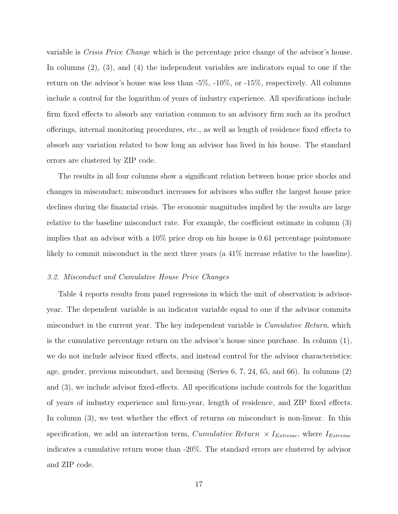variable is Crisis Price Change which is the percentage price change of the advisor's house. In columns (2), (3), and (4) the independent variables are indicators equal to one if the return on the advisor's house was less than -5%, -10%, or -15%, respectively. All columns include a control for the logarithm of years of industry experience. All specifications include firm fixed effects to absorb any variation common to an advisory firm such as its product offerings, internal monitoring procedures, etc., as well as length of residence fixed effects to absorb any variation related to how long an advisor has lived in his house. The standard errors are clustered by ZIP code.

The results in all four columns show a significant relation between house price shocks and changes in misconduct; misconduct increases for advisors who suffer the largest house price declines during the financial crisis. The economic magnitudes implied by the results are large relative to the baseline misconduct rate. For example, the coefficient estimate in column (3) implies that an advisor with a 10% price drop on his house is 0.61 percentage pointsmore likely to commit misconduct in the next three years (a 41% increase relative to the baseline).

#### 3.2. Misconduct and Cumulative House Price Changes

Table [4](#page-42-0) reports results from panel regressions in which the unit of observation is advisoryear. The dependent variable is an indicator variable equal to one if the advisor commits misconduct in the current year. The key independent variable is *Cumulative Return*, which is the cumulative percentage return on the advisor's house since purchase. In column (1), we do not include advisor fixed effects, and instead control for the advisor characteristics: age, gender, previous misconduct, and licensing (Series 6, 7, 24, 65, and 66). In columns (2) and (3), we include advisor fixed-effects. All specifications include controls for the logarithm of years of industry experience and firm-year, length of residence, and ZIP fixed effects. In column (3), we test whether the effect of returns on misconduct is non-linear. In this specification, we add an interaction term, Cumulative Return  $\times I_{Extreme}$ , where  $I_{Extreme}$ indicates a cumulative return worse than -20%. The standard errors are clustered by advisor and ZIP code.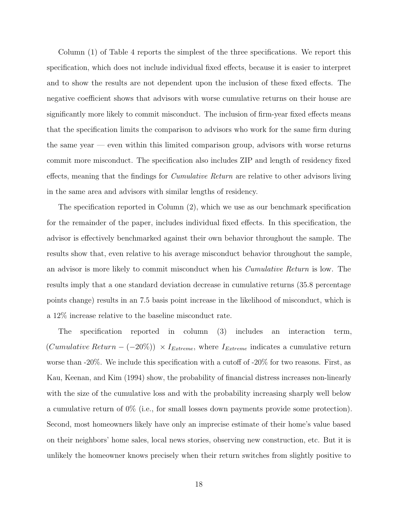Column (1) of Table [4](#page-42-0) reports the simplest of the three specifications. We report this specification, which does not include individual fixed effects, because it is easier to interpret and to show the results are not dependent upon the inclusion of these fixed effects. The negative coefficient shows that advisors with worse cumulative returns on their house are significantly more likely to commit misconduct. The inclusion of firm-year fixed effects means that the specification limits the comparison to advisors who work for the same firm during the same year  $-$  even within this limited comparison group, advisors with worse returns commit more misconduct. The specification also includes ZIP and length of residency fixed effects, meaning that the findings for *Cumulative Return* are relative to other advisors living in the same area and advisors with similar lengths of residency.

The specification reported in Column (2), which we use as our benchmark specification for the remainder of the paper, includes individual fixed effects. In this specification, the advisor is effectively benchmarked against their own behavior throughout the sample. The results show that, even relative to his average misconduct behavior throughout the sample, an advisor is more likely to commit misconduct when his Cumulative Return is low. The results imply that a one standard deviation decrease in cumulative returns (35.8 percentage points change) results in an 7.5 basis point increase in the likelihood of misconduct, which is a 12% increase relative to the baseline misconduct rate.

The specification reported in column (3) includes an interaction term,  $(Cumulative Return - (-20\%) \times I_{Extreme}$ , where  $I_{Extreme}$  indicates a cumulative return worse than  $-20\%$ . We include this specification with a cutoff of  $-20\%$  for two reasons. First, as [Kau, Keenan, and Kim](#page-32-8) [\(1994\)](#page-32-8) show, the probability of financial distress increases non-linearly with the size of the cumulative loss and with the probability increasing sharply well below a cumulative return of 0% (i.e., for small losses down payments provide some protection). Second, most homeowners likely have only an imprecise estimate of their home's value based on their neighbors' home sales, local news stories, observing new construction, etc. But it is unlikely the homeowner knows precisely when their return switches from slightly positive to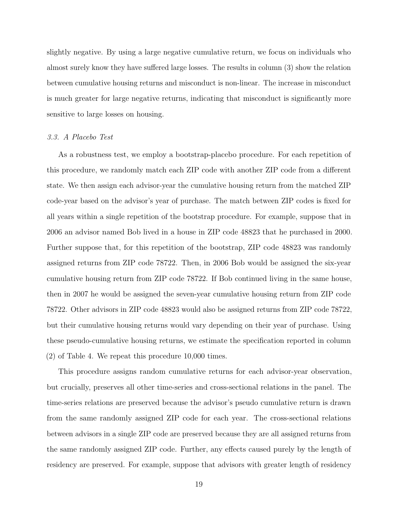slightly negative. By using a large negative cumulative return, we focus on individuals who almost surely know they have suffered large losses. The results in column (3) show the relation between cumulative housing returns and misconduct is non-linear. The increase in misconduct is much greater for large negative returns, indicating that misconduct is significantly more sensitive to large losses on housing.

#### 3.3. A Placebo Test

As a robustness test, we employ a bootstrap-placebo procedure. For each repetition of this procedure, we randomly match each ZIP code with another ZIP code from a different state. We then assign each advisor-year the cumulative housing return from the matched ZIP code-year based on the advisor's year of purchase. The match between ZIP codes is fixed for all years within a single repetition of the bootstrap procedure. For example, suppose that in 2006 an advisor named Bob lived in a house in ZIP code 48823 that he purchased in 2000. Further suppose that, for this repetition of the bootstrap, ZIP code 48823 was randomly assigned returns from ZIP code 78722. Then, in 2006 Bob would be assigned the six-year cumulative housing return from ZIP code 78722. If Bob continued living in the same house, then in 2007 he would be assigned the seven-year cumulative housing return from ZIP code 78722. Other advisors in ZIP code 48823 would also be assigned returns from ZIP code 78722, but their cumulative housing returns would vary depending on their year of purchase. Using these pseudo-cumulative housing returns, we estimate the specification reported in column (2) of Table [4.](#page-42-0) We repeat this procedure 10,000 times.

This procedure assigns random cumulative returns for each advisor-year observation, but crucially, preserves all other time-series and cross-sectional relations in the panel. The time-series relations are preserved because the advisor's pseudo cumulative return is drawn from the same randomly assigned ZIP code for each year. The cross-sectional relations between advisors in a single ZIP code are preserved because they are all assigned returns from the same randomly assigned ZIP code. Further, any effects caused purely by the length of residency are preserved. For example, suppose that advisors with greater length of residency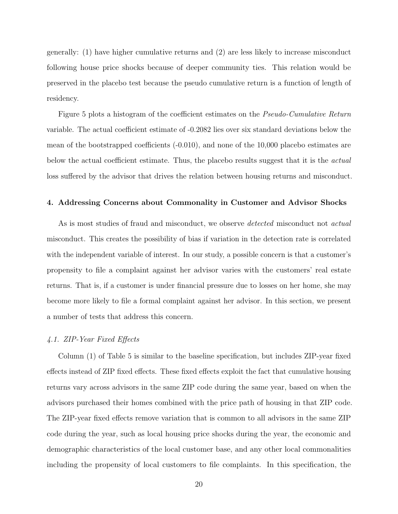generally: (1) have higher cumulative returns and (2) are less likely to increase misconduct following house price shocks because of deeper community ties. This relation would be preserved in the placebo test because the pseudo cumulative return is a function of length of residency.

Figure 5 plots a histogram of the coefficient estimates on the *Pseudo-Cumulative Return* variable. The actual coefficient estimate of -0.2082 lies over six standard deviations below the mean of the bootstrapped coefficients (-0.010), and none of the 10,000 placebo estimates are below the actual coefficient estimate. Thus, the placebo results suggest that it is the *actual* loss suffered by the advisor that drives the relation between housing returns and misconduct.

#### 4. Addressing Concerns about Commonality in Customer and Advisor Shocks

As is most studies of fraud and misconduct, we observe *detected* misconduct not *actual* misconduct. This creates the possibility of bias if variation in the detection rate is correlated with the independent variable of interest. In our study, a possible concern is that a customer's propensity to file a complaint against her advisor varies with the customers' real estate returns. That is, if a customer is under financial pressure due to losses on her home, she may become more likely to file a formal complaint against her advisor. In this section, we present a number of tests that address this concern.

#### 4.1. ZIP-Year Fixed Effects

Column (1) of Table [5](#page-43-0) is similar to the baseline specification, but includes ZIP-year fixed effects instead of ZIP fixed effects. These fixed effects exploit the fact that cumulative housing returns vary across advisors in the same ZIP code during the same year, based on when the advisors purchased their homes combined with the price path of housing in that ZIP code. The ZIP-year fixed effects remove variation that is common to all advisors in the same ZIP code during the year, such as local housing price shocks during the year, the economic and demographic characteristics of the local customer base, and any other local commonalities including the propensity of local customers to file complaints. In this specification, the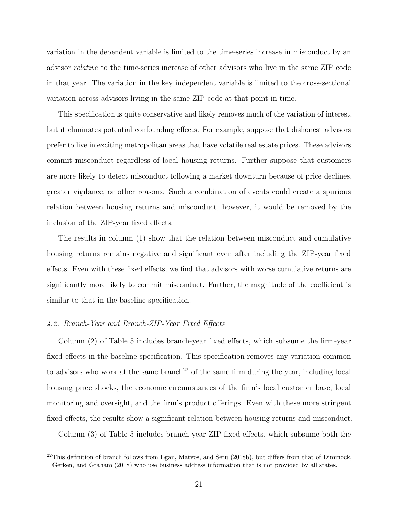variation in the dependent variable is limited to the time-series increase in misconduct by an advisor relative to the time-series increase of other advisors who live in the same ZIP code in that year. The variation in the key independent variable is limited to the cross-sectional variation across advisors living in the same ZIP code at that point in time.

This specification is quite conservative and likely removes much of the variation of interest, but it eliminates potential confounding effects. For example, suppose that dishonest advisors prefer to live in exciting metropolitan areas that have volatile real estate prices. These advisors commit misconduct regardless of local housing returns. Further suppose that customers are more likely to detect misconduct following a market downturn because of price declines, greater vigilance, or other reasons. Such a combination of events could create a spurious relation between housing returns and misconduct, however, it would be removed by the inclusion of the ZIP-year fixed effects.

The results in column (1) show that the relation between misconduct and cumulative housing returns remains negative and significant even after including the ZIP-year fixed effects. Even with these fixed effects, we find that advisors with worse cumulative returns are significantly more likely to commit misconduct. Further, the magnitude of the coefficient is similar to that in the baseline specification.

### 4.2. Branch-Year and Branch-ZIP-Year Fixed Effects

Column (2) of Table [5](#page-43-0) includes branch-year fixed effects, which subsume the firm-year fixed effects in the baseline specification. This specification removes any variation common to advisors who work at the same branch<sup>[22](#page-21-0)</sup> of the same firm during the year, including local housing price shocks, the economic circumstances of the firm's local customer base, local monitoring and oversight, and the firm's product offerings. Even with these more stringent fixed effects, the results show a significant relation between housing returns and misconduct.

Column (3) of Table [5](#page-43-0) includes branch-year-ZIP fixed effects, which subsume both the

<span id="page-21-0"></span> $^{22}$ This definition of branch follows from [Egan, Matvos, and Seru](#page-31-5) [\(2018b\)](#page-31-5), but differs from that of [Dimmock,](#page-31-4) [Gerken, and Graham](#page-31-4) [\(2018\)](#page-31-4) who use business address information that is not provided by all states.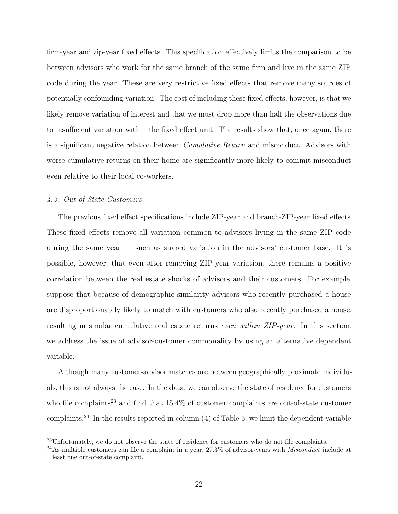firm-year and zip-year fixed effects. This specification effectively limits the comparison to be between advisors who work for the same branch of the same firm and live in the same ZIP code during the year. These are very restrictive fixed effects that remove many sources of potentially confounding variation. The cost of including these fixed effects, however, is that we likely remove variation of interest and that we must drop more than half the observations due to insufficient variation within the fixed effect unit. The results show that, once again, there is a significant negative relation between Cumulative Return and misconduct. Advisors with worse cumulative returns on their home are significantly more likely to commit misconduct even relative to their local co-workers.

## 4.3. Out-of-State Customers

The previous fixed effect specifications include ZIP-year and branch-ZIP-year fixed effects. These fixed effects remove all variation common to advisors living in the same ZIP code during the same year — such as shared variation in the advisors' customer base. It is possible, however, that even after removing ZIP-year variation, there remains a positive correlation between the real estate shocks of advisors and their customers. For example, suppose that because of demographic similarity advisors who recently purchased a house are disproportionately likely to match with customers who also recently purchased a house, resulting in similar cumulative real estate returns even within ZIP-year. In this section, we address the issue of advisor-customer commonality by using an alternative dependent variable.

Although many customer-advisor matches are between geographically proximate individuals, this is not always the case. In the data, we can observe the state of residence for customers who file complaints<sup>[23](#page-22-0)</sup> and find that  $15.4\%$  of customer complaints are out-of-state customer complaints.<sup>[24](#page-22-1)</sup> In the results reported in column  $(4)$  of Table [5,](#page-43-0) we limit the dependent variable

<span id="page-22-0"></span> $^{23}$ Unfortunately, we do not observe the state of residence for customers who do not file complaints.

<span id="page-22-1"></span> $^{24}$ As multiple customers can file a complaint in a year, 27.3% of advisor-years with *Misconduct* include at least one out-of-state complaint.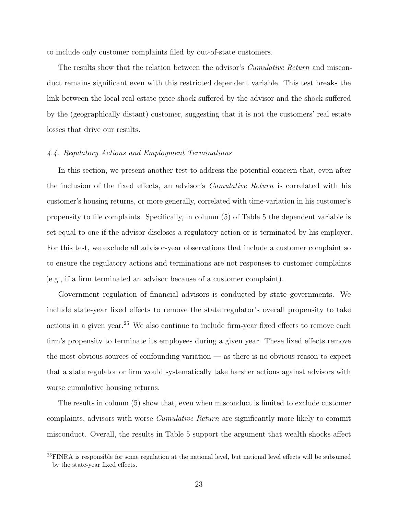to include only customer complaints filed by out-of-state customers.

The results show that the relation between the advisor's *Cumulative Return* and misconduct remains significant even with this restricted dependent variable. This test breaks the link between the local real estate price shock suffered by the advisor and the shock suffered by the (geographically distant) customer, suggesting that it is not the customers' real estate losses that drive our results.

### 4.4. Regulatory Actions and Employment Terminations

In this section, we present another test to address the potential concern that, even after the inclusion of the fixed effects, an advisor's Cumulative Return is correlated with his customer's housing returns, or more generally, correlated with time-variation in his customer's propensity to file complaints. Specifically, in column (5) of Table [5](#page-43-0) the dependent variable is set equal to one if the advisor discloses a regulatory action or is terminated by his employer. For this test, we exclude all advisor-year observations that include a customer complaint so to ensure the regulatory actions and terminations are not responses to customer complaints (e.g., if a firm terminated an advisor because of a customer complaint).

Government regulation of financial advisors is conducted by state governments. We include state-year fixed effects to remove the state regulator's overall propensity to take actions in a given year.<sup>[25](#page-23-0)</sup> We also continue to include firm-year fixed effects to remove each firm's propensity to terminate its employees during a given year. These fixed effects remove the most obvious sources of confounding variation — as there is no obvious reason to expect that a state regulator or firm would systematically take harsher actions against advisors with worse cumulative housing returns.

The results in column (5) show that, even when misconduct is limited to exclude customer complaints, advisors with worse Cumulative Return are significantly more likely to commit misconduct. Overall, the results in Table [5](#page-43-0) support the argument that wealth shocks affect

<span id="page-23-0"></span> $^{25}$ FINRA is responsible for some regulation at the national level, but national level effects will be subsumed by the state-year fixed effects.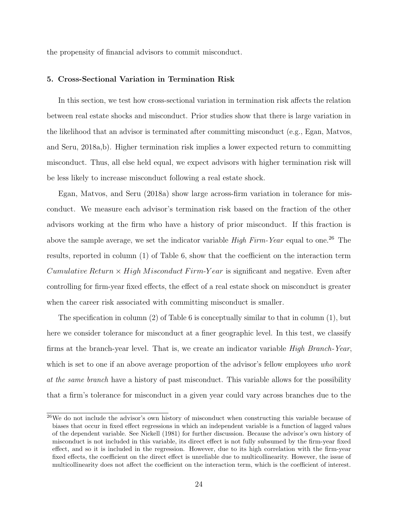the propensity of financial advisors to commit misconduct.

### 5. Cross-Sectional Variation in Termination Risk

In this section, we test how cross-sectional variation in termination risk affects the relation between real estate shocks and misconduct. Prior studies show that there is large variation in the likelihood that an advisor is terminated after committing misconduct (e.g., [Egan, Matvos,](#page-31-1) [and Seru, 2018a](#page-31-1)[,b\)](#page-31-5). Higher termination risk implies a lower expected return to committing misconduct. Thus, all else held equal, we expect advisors with higher termination risk will be less likely to increase misconduct following a real estate shock.

[Egan, Matvos, and Seru](#page-31-1) [\(2018a\)](#page-31-1) show large across-firm variation in tolerance for misconduct. We measure each advisor's termination risk based on the fraction of the other advisors working at the firm who have a history of prior misconduct. If this fraction is above the sample average, we set the indicator variable *High Firm-Year* equal to one.<sup>[26](#page-24-0)</sup> The results, reported in column (1) of Table [6,](#page-44-0) show that the coefficient on the interaction term Cumulative Return  $\times$  High Misconduct Firm-Year is significant and negative. Even after controlling for firm-year fixed effects, the effect of a real estate shock on misconduct is greater when the career risk associated with committing misconduct is smaller.

The specification in column (2) of Table [6](#page-44-0) is conceptually similar to that in column (1), but here we consider tolerance for misconduct at a finer geographic level. In this test, we classify firms at the branch-year level. That is, we create an indicator variable High Branch-Year, which is set to one if an above average proportion of the advisor's fellow employees who work at the same branch have a history of past misconduct. This variable allows for the possibility that a firm's tolerance for misconduct in a given year could vary across branches due to the

<span id="page-24-0"></span> $^{26}$ We do not include the advisor's own history of misconduct when constructing this variable because of biases that occur in fixed effect regressions in which an independent variable is a function of lagged values of the dependent variable. See [Nickell](#page-32-9) [\(1981\)](#page-32-9) for further discussion. Because the advisor's own history of misconduct is not included in this variable, its direct effect is not fully subsumed by the firm-year fixed effect, and so it is included in the regression. However, due to its high correlation with the firm-year fixed effects, the coefficient on the direct effect is unreliable due to multicollinearity. However, the issue of multicollinearity does not affect the coefficient on the interaction term, which is the coefficient of interest.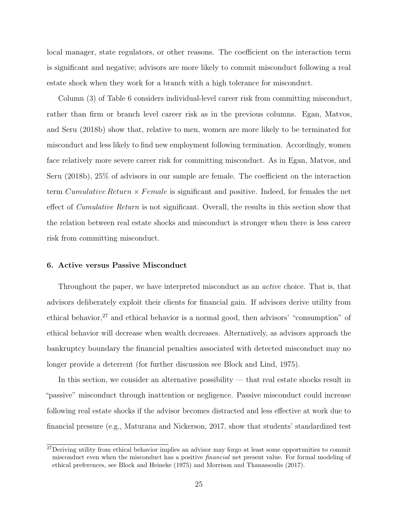local manager, state regulators, or other reasons. The coefficient on the interaction term is significant and negative; advisors are more likely to commit misconduct following a real estate shock when they work for a branch with a high tolerance for misconduct.

Column (3) of Table [6](#page-44-0) considers individual-level career risk from committing misconduct, rather than firm or branch level career risk as in the previous columns. [Egan, Matvos,](#page-31-5) [and Seru](#page-31-5) [\(2018b\)](#page-31-5) show that, relative to men, women are more likely to be terminated for misconduct and less likely to find new employment following termination. Accordingly, women face relatively more severe career risk for committing misconduct. As in [Egan, Matvos, and](#page-31-5) [Seru](#page-31-5) [\(2018b\)](#page-31-5), 25% of advisors in our sample are female. The coefficient on the interaction term *Cumulative Return*  $\times$  *Female* is significant and positive. Indeed, for females the net effect of *Cumulative Return* is not significant. Overall, the results in this section show that the relation between real estate shocks and misconduct is stronger when there is less career risk from committing misconduct.

#### 6. Active versus Passive Misconduct

Throughout the paper, we have interpreted misconduct as an *active* choice. That is, that advisors deliberately exploit their clients for financial gain. If advisors derive utility from ethical behavior,[27](#page-25-0) and ethical behavior is a normal good, then advisors' "consumption" of ethical behavior will decrease when wealth decreases. Alternatively, as advisors approach the bankruptcy boundary the financial penalties associated with detected misconduct may no longer provide a deterrent (for further discussion see [Block and Lind, 1975\)](#page-30-9).

In this section, we consider an alternative possibility — that real estate shocks result in "passive" misconduct through inattention or negligence. Passive misconduct could increase following real estate shocks if the advisor becomes distracted and less effective at work due to financial pressure (e.g., [Maturana and Nickerson, 2017,](#page-32-4) show that students' standardized test

<span id="page-25-0"></span><sup>&</sup>lt;sup>27</sup>Deriving utility from ethical behavior implies an advisor may forgo at least some opportunities to commit misconduct even when the misconduct has a positive financial net present value. For formal modeling of ethical preferences, see [Block and Heineke](#page-30-0) [\(1975\)](#page-30-0) and [Morrison and Thanassoulis](#page-32-10) [\(2017\)](#page-32-10).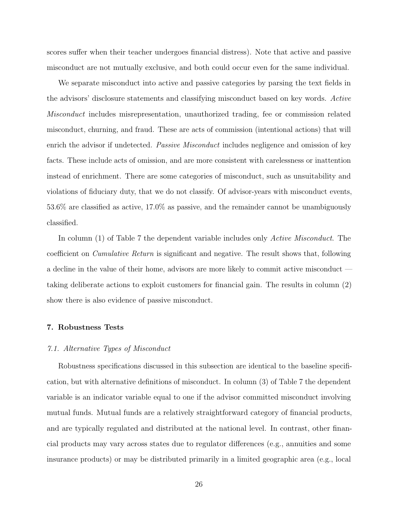scores suffer when their teacher undergoes financial distress). Note that active and passive misconduct are not mutually exclusive, and both could occur even for the same individual.

We separate misconduct into active and passive categories by parsing the text fields in the advisors' disclosure statements and classifying misconduct based on key words. Active Misconduct includes misrepresentation, unauthorized trading, fee or commission related misconduct, churning, and fraud. These are acts of commission (intentional actions) that will enrich the advisor if undetected. *Passive Misconduct* includes negligence and omission of key facts. These include acts of omission, and are more consistent with carelessness or inattention instead of enrichment. There are some categories of misconduct, such as unsuitability and violations of fiduciary duty, that we do not classify. Of advisor-years with misconduct events, 53.6% are classified as active, 17.0% as passive, and the remainder cannot be unambiguously classified.

In column (1) of Table [7](#page-45-0) the dependent variable includes only *Active Misconduct*. The coefficient on Cumulative Return is significant and negative. The result shows that, following a decline in the value of their home, advisors are more likely to commit active misconduct taking deliberate actions to exploit customers for financial gain. The results in column (2) show there is also evidence of passive misconduct.

#### 7. Robustness Tests

#### 7.1. Alternative Types of Misconduct

Robustness specifications discussed in this subsection are identical to the baseline specification, but with alternative definitions of misconduct. In column (3) of Table [7](#page-45-0) the dependent variable is an indicator variable equal to one if the advisor committed misconduct involving mutual funds. Mutual funds are a relatively straightforward category of financial products, and are typically regulated and distributed at the national level. In contrast, other financial products may vary across states due to regulator differences (e.g., annuities and some insurance products) or may be distributed primarily in a limited geographic area (e.g., local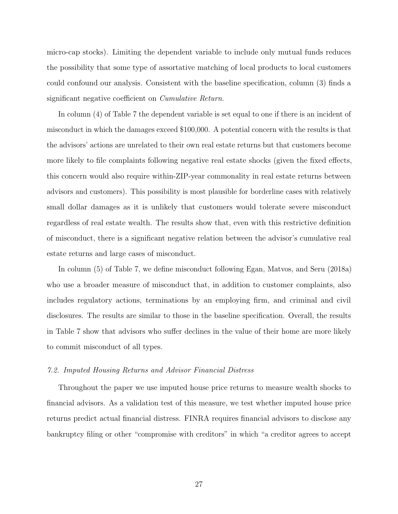micro-cap stocks). Limiting the dependent variable to include only mutual funds reduces the possibility that some type of assortative matching of local products to local customers could confound our analysis. Consistent with the baseline specification, column (3) finds a significant negative coefficient on Cumulative Return.

In column (4) of Table [7](#page-45-0) the dependent variable is set equal to one if there is an incident of misconduct in which the damages exceed \$100,000. A potential concern with the results is that the advisors' actions are unrelated to their own real estate returns but that customers become more likely to file complaints following negative real estate shocks (given the fixed effects, this concern would also require within-ZIP-year commonality in real estate returns between advisors and customers). This possibility is most plausible for borderline cases with relatively small dollar damages as it is unlikely that customers would tolerate severe misconduct regardless of real estate wealth. The results show that, even with this restrictive definition of misconduct, there is a significant negative relation between the advisor's cumulative real estate returns and large cases of misconduct.

In column (5) of Table [7,](#page-45-0) we define misconduct following [Egan, Matvos, and Seru](#page-31-1) [\(2018a\)](#page-31-1) who use a broader measure of misconduct that, in addition to customer complaints, also includes regulatory actions, terminations by an employing firm, and criminal and civil disclosures. The results are similar to those in the baseline specification. Overall, the results in Table [7](#page-45-0) show that advisors who suffer declines in the value of their home are more likely to commit misconduct of all types.

#### 7.2. Imputed Housing Returns and Advisor Financial Distress

Throughout the paper we use imputed house price returns to measure wealth shocks to financial advisors. As a validation test of this measure, we test whether imputed house price returns predict actual financial distress. FINRA requires financial advisors to disclose any bankruptcy filing or other "compromise with creditors" in which "a creditor agrees to accept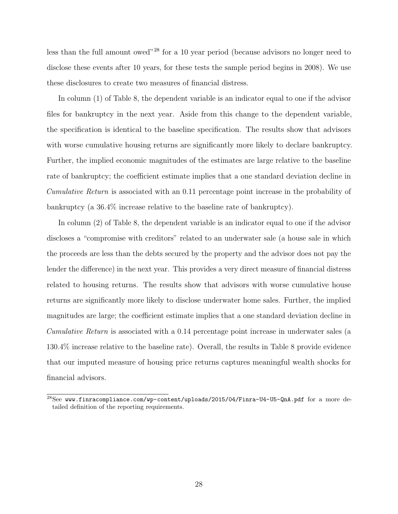less than the full amount owed"[28](#page-28-0) for a 10 year period (because advisors no longer need to disclose these events after 10 years, for these tests the sample period begins in 2008). We use these disclosures to create two measures of financial distress.

In column (1) of Table [8,](#page-46-0) the dependent variable is an indicator equal to one if the advisor files for bankruptcy in the next year. Aside from this change to the dependent variable, the specification is identical to the baseline specification. The results show that advisors with worse cumulative housing returns are significantly more likely to declare bankruptcy. Further, the implied economic magnitudes of the estimates are large relative to the baseline rate of bankruptcy; the coefficient estimate implies that a one standard deviation decline in Cumulative Return is associated with an 0.11 percentage point increase in the probability of bankruptcy (a 36.4% increase relative to the baseline rate of bankruptcy).

In column (2) of Table [8,](#page-46-0) the dependent variable is an indicator equal to one if the advisor discloses a "compromise with creditors" related to an underwater sale (a house sale in which the proceeds are less than the debts secured by the property and the advisor does not pay the lender the difference) in the next year. This provides a very direct measure of financial distress related to housing returns. The results show that advisors with worse cumulative house returns are significantly more likely to disclose underwater home sales. Further, the implied magnitudes are large; the coefficient estimate implies that a one standard deviation decline in Cumulative Return is associated with a 0.14 percentage point increase in underwater sales (a 130.4% increase relative to the baseline rate). Overall, the results in Table [8](#page-46-0) provide evidence that our imputed measure of housing price returns captures meaningful wealth shocks for financial advisors.

<span id="page-28-0"></span><sup>28</sup>See <www.finracompliance.com/wp-content/uploads/2015/04/Finra-U4-U5-QnA.pdf> for a more detailed definition of the reporting requirements.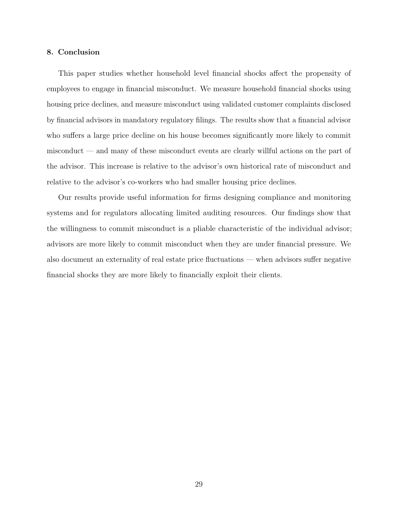#### 8. Conclusion

This paper studies whether household level financial shocks affect the propensity of employees to engage in financial misconduct. We measure household financial shocks using housing price declines, and measure misconduct using validated customer complaints disclosed by financial advisors in mandatory regulatory filings. The results show that a financial advisor who suffers a large price decline on his house becomes significantly more likely to commit misconduct — and many of these misconduct events are clearly willful actions on the part of the advisor. This increase is relative to the advisor's own historical rate of misconduct and relative to the advisor's co-workers who had smaller housing price declines.

Our results provide useful information for firms designing compliance and monitoring systems and for regulators allocating limited auditing resources. Our findings show that the willingness to commit misconduct is a pliable characteristic of the individual advisor; advisors are more likely to commit misconduct when they are under financial pressure. We also document an externality of real estate price fluctuations — when advisors suffer negative financial shocks they are more likely to financially exploit their clients.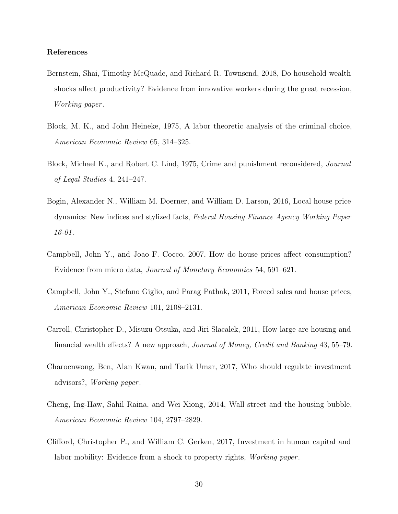### References

- <span id="page-30-4"></span>Bernstein, Shai, Timothy McQuade, and Richard R. Townsend, 2018, Do household wealth shocks affect productivity? Evidence from innovative workers during the great recession, Working paper .
- <span id="page-30-0"></span>Block, M. K., and John Heineke, 1975, A labor theoretic analysis of the criminal choice, American Economic Review 65, 314–325.
- <span id="page-30-9"></span>Block, Michael K., and Robert C. Lind, 1975, Crime and punishment reconsidered, Journal of Legal Studies 4, 241–247.
- <span id="page-30-8"></span>Bogin, Alexander N., William M. Doerner, and William D. Larson, 2016, Local house price dynamics: New indices and stylized facts, Federal Housing Finance Agency Working Paper  $16 - 01$ .
- <span id="page-30-2"></span>Campbell, John Y., and Joao F. Cocco, 2007, How do house prices affect consumption? Evidence from micro data, Journal of Monetary Economics 54, 591–621.
- <span id="page-30-7"></span>Campbell, John Y., Stefano Giglio, and Parag Pathak, 2011, Forced sales and house prices, American Economic Review 101, 2108–2131.
- <span id="page-30-3"></span>Carroll, Christopher D., Misuzu Otsuka, and Jiri Slacalek, 2011, How large are housing and financial wealth effects? A new approach, Journal of Money, Credit and Banking 43, 55–79.
- <span id="page-30-5"></span>Charoenwong, Ben, Alan Kwan, and Tarik Umar, 2017, Who should regulate investment advisors?, Working paper .
- <span id="page-30-1"></span>Cheng, Ing-Haw, Sahil Raina, and Wei Xiong, 2014, Wall street and the housing bubble, American Economic Review 104, 2797–2829.
- <span id="page-30-6"></span>Clifford, Christopher P., and William C. Gerken, 2017, Investment in human capital and labor mobility: Evidence from a shock to property rights, *Working paper*.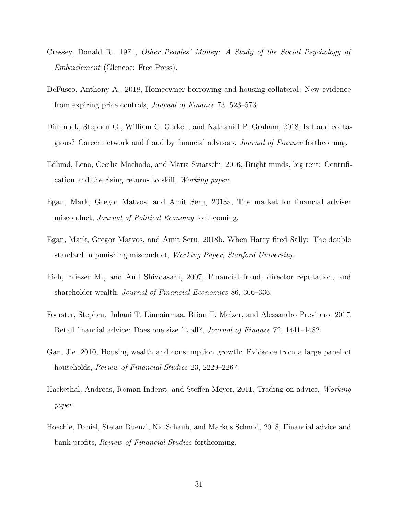- <span id="page-31-0"></span>Cressey, Donald R., 1971, Other Peoples' Money: A Study of the Social Psychology of Embezzlement (Glencoe: Free Press).
- <span id="page-31-6"></span>DeFusco, Anthony A., 2018, Homeowner borrowing and housing collateral: New evidence from expiring price controls, Journal of Finance 73, 523–573.
- <span id="page-31-4"></span>Dimmock, Stephen G., William C. Gerken, and Nathaniel P. Graham, 2018, Is fraud contagious? Career network and fraud by financial advisors, Journal of Finance forthcoming.
- <span id="page-31-10"></span>Edlund, Lena, Cecilia Machado, and Maria Sviatschi, 2016, Bright minds, big rent: Gentrification and the rising returns to skill, Working paper .
- <span id="page-31-1"></span>Egan, Mark, Gregor Matvos, and Amit Seru, 2018a, The market for financial adviser misconduct, Journal of Political Economy forthcoming.
- <span id="page-31-5"></span>Egan, Mark, Gregor Matvos, and Amit Seru, 2018b, When Harry fired Sally: The double standard in punishing misconduct, Working Paper, Stanford University.
- <span id="page-31-2"></span>Fich, Eliezer M., and Anil Shivdasani, 2007, Financial fraud, director reputation, and shareholder wealth, Journal of Financial Economics 86, 306–336.
- <span id="page-31-3"></span>Foerster, Stephen, Juhani T. Linnainmaa, Brian T. Melzer, and Alessandro Previtero, 2017, Retail financial advice: Does one size fit all?, Journal of Finance 72, 1441–1482.
- <span id="page-31-7"></span>Gan, Jie, 2010, Housing wealth and consumption growth: Evidence from a large panel of households, *Review of Financial Studies* 23, 2229–2267.
- <span id="page-31-8"></span>Hackethal, Andreas, Roman Inderst, and Steffen Meyer, 2011, Trading on advice, Working paper .
- <span id="page-31-9"></span>Hoechle, Daniel, Stefan Ruenzi, Nic Schaub, and Markus Schmid, 2018, Financial advice and bank profits, Review of Financial Studies forthcoming.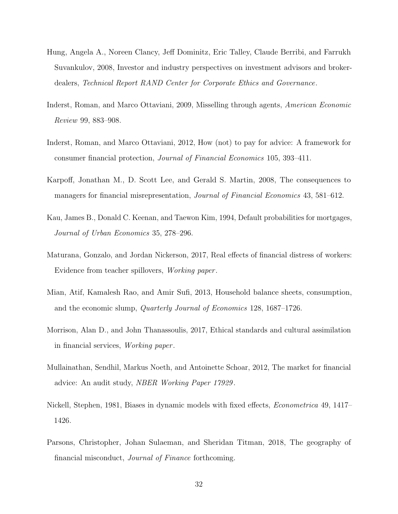- <span id="page-32-1"></span>Hung, Angela A., Noreen Clancy, Jeff Dominitz, Eric Talley, Claude Berribi, and Farrukh Suvankulov, 2008, Investor and industry perspectives on investment advisors and brokerdealers, Technical Report RAND Center for Corporate Ethics and Governance.
- <span id="page-32-5"></span>Inderst, Roman, and Marco Ottaviani, 2009, Misselling through agents, American Economic Review 99, 883–908.
- <span id="page-32-2"></span>Inderst, Roman, and Marco Ottaviani, 2012, How (not) to pay for advice: A framework for consumer financial protection, Journal of Financial Economics 105, 393–411.
- <span id="page-32-0"></span>Karpoff, Jonathan M., D. Scott Lee, and Gerald S. Martin, 2008, The consequences to managers for financial misrepresentation, *Journal of Financial Economics* 43, 581–612.
- <span id="page-32-8"></span>Kau, James B., Donald C. Keenan, and Taewon Kim, 1994, Default probabilities for mortgages, Journal of Urban Economics 35, 278–296.
- <span id="page-32-4"></span>Maturana, Gonzalo, and Jordan Nickerson, 2017, Real effects of financial distress of workers: Evidence from teacher spillovers, Working paper .
- <span id="page-32-3"></span>Mian, Atif, Kamalesh Rao, and Amir Sufi, 2013, Household balance sheets, consumption, and the economic slump, Quarterly Journal of Economics 128, 1687–1726.
- <span id="page-32-10"></span>Morrison, Alan D., and John Thanassoulis, 2017, Ethical standards and cultural assimilation in financial services, Working paper .
- <span id="page-32-6"></span>Mullainathan, Sendhil, Markus Noeth, and Antoinette Schoar, 2012, The market for financial advice: An audit study, NBER Working Paper 17929 .
- <span id="page-32-9"></span>Nickell, Stephen, 1981, Biases in dynamic models with fixed effects, Econometrica 49, 1417– 1426.
- <span id="page-32-7"></span>Parsons, Christopher, Johan Sulaeman, and Sheridan Titman, 2018, The geography of financial misconduct, Journal of Finance forthcoming.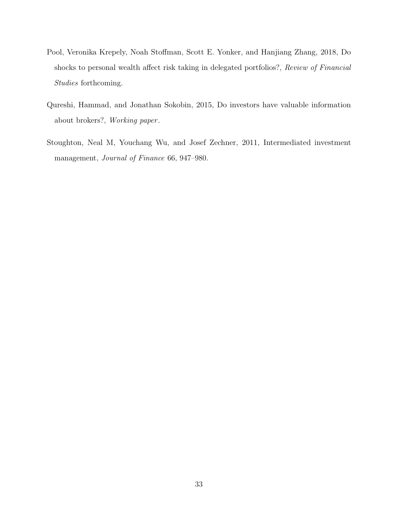- <span id="page-33-0"></span>Pool, Veronika Krepely, Noah Stoffman, Scott E. Yonker, and Hanjiang Zhang, 2018, Do shocks to personal wealth affect risk taking in delegated portfolios?, Review of Financial Studies forthcoming.
- <span id="page-33-1"></span>Qureshi, Hammad, and Jonathan Sokobin, 2015, Do investors have valuable information about brokers?, Working paper .
- <span id="page-33-2"></span>Stoughton, Neal M, Youchang Wu, and Josef Zechner, 2011, Intermediated investment management, Journal of Finance 66, 947–980.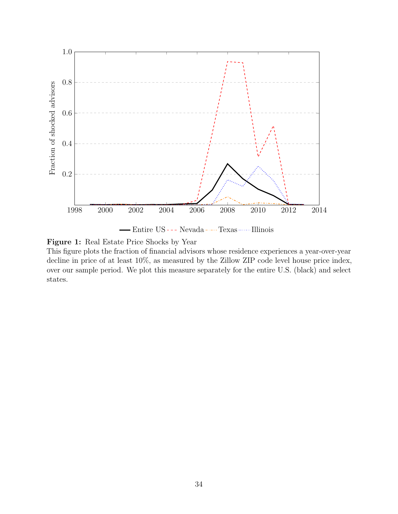

Figure 1: Real Estate Price Shocks by Year

This figure plots the fraction of financial advisors whose residence experiences a year-over-year decline in price of at least 10%, as measured by the Zillow ZIP code level house price index, over our sample period. We plot this measure separately for the entire U.S. (black) and select states.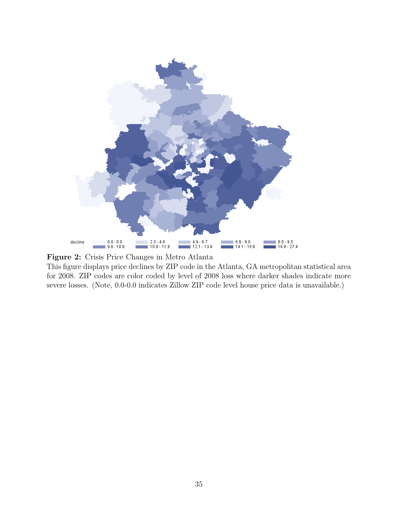

Figure 2: Crisis Price Changes in Metro Atlanta

This figure displays price declines by ZIP code in the Atlanta, GA metropolitan statistical area for 2008. ZIP codes are color coded by level of 2008 loss where darker shades indicate more severe losses. (Note, 0.0-0.0 indicates Zillow ZIP code level house price data is unavailable.)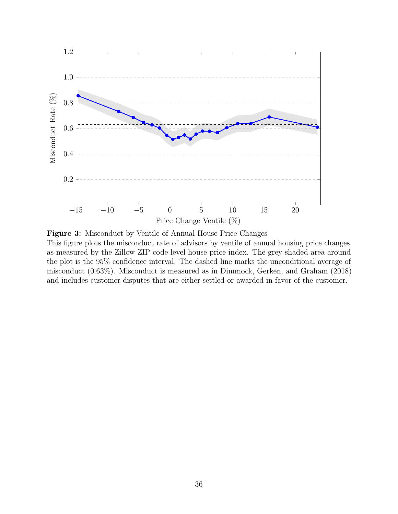

Figure 3: Misconduct by Ventile of Annual House Price Changes This figure plots the misconduct rate of advisors by ventile of annual housing price changes, as measured by the Zillow ZIP code level house price index. The grey shaded area around the plot is the 95% confidence interval. The dashed line marks the unconditional average of misconduct (0.63%). Misconduct is measured as in [Dimmock, Gerken, and Graham](#page-31-4) [\(2018\)](#page-31-4) and includes customer disputes that are either settled or awarded in favor of the customer.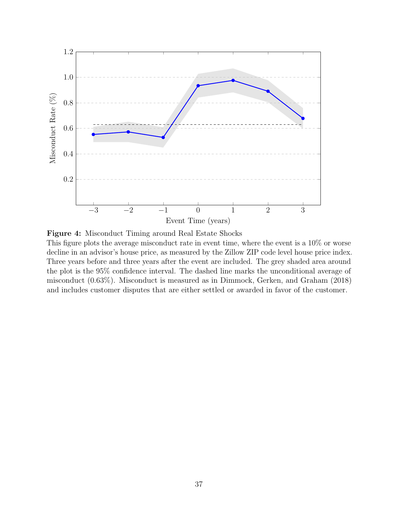

Figure 4: Misconduct Timing around Real Estate Shocks This figure plots the average misconduct rate in event time, where the event is a 10% or worse decline in an advisor's house price, as measured by the Zillow ZIP code level house price index. Three years before and three years after the event are included. The grey shaded area around the plot is the 95% confidence interval. The dashed line marks the unconditional average of misconduct (0.63%). Misconduct is measured as in [Dimmock, Gerken, and Graham](#page-31-4) [\(2018\)](#page-31-4) and includes customer disputes that are either settled or awarded in favor of the customer.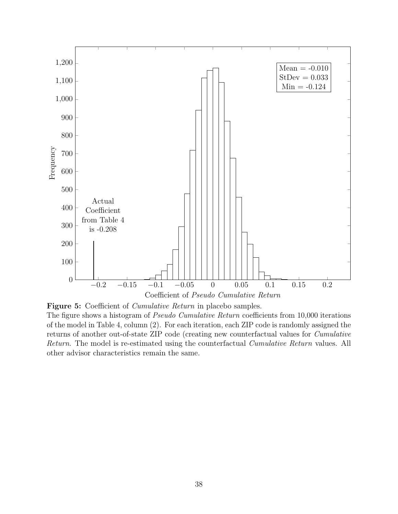

Figure 5: Coefficient of *Cumulative Return* in placebo samples.

The figure shows a histogram of *Pseudo Cumulative Return* coefficients from 10,000 iterations of the model in Table 4, column (2). For each iteration, each ZIP code is randomly assigned the returns of another out-of-state ZIP code (creating new counterfactual values for Cumulative Return. The model is re-estimated using the counterfactual *Cumulative Return* values. All other advisor characteristics remain the same.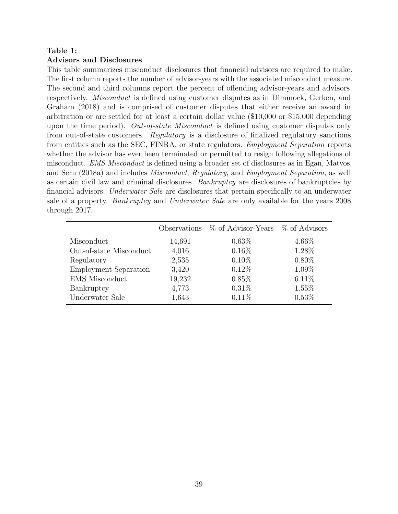# <span id="page-39-0"></span>Table 1:

### Advisors and Disclosures

This table summarizes misconduct disclosures that financial advisors are required to make. The first column reports the number of advisor-years with the associated misconduct measure. The second and third columns report the percent of offending advisor-years and advisors, respectively. Misconduct is defined using customer disputes as in [Dimmock, Gerken, and](#page-31-4) [Graham](#page-31-4) [\(2018\)](#page-31-4) and is comprised of customer disputes that either receive an award in arbitration or are settled for at least a certain dollar value (\$10,000 or \$15,000 depending upon the time period). Out-of-state Misconduct is defined using customer disputes only from out-of-state customers. Regulatory is a disclosure of finalized regulatory sanctions from entities such as the SEC, FINRA, or state regulators. Employment Separation reports whether the advisor has ever been terminated or permitted to resign following allegations of misconduct. EMS Misconduct is defined using a broader set of disclosures as in [Egan, Matvos,](#page-31-1) [and Seru](#page-31-1) [\(2018a\)](#page-31-1) and includes Misconduct, Regulatory, and Employment Separation, as well as certain civil law and criminal disclosures. Bankruptcy are disclosures of bankruptcies by financial advisors. Underwater Sale are disclosures that pertain specifically to an underwater sale of a property. Bankruptcy and Underwater Sale are only available for the years 2008 through 2017.

|                              | Observations | $\%$ of Advisor-Years $\%$ of Advisors |          |
|------------------------------|--------------|----------------------------------------|----------|
| Misconduct                   | 14,691       | $0.63\%$                               | 4.66%    |
| Out-of-state Misconduct      | 4,016        | $0.16\%$                               | 1.28%    |
| Regulatory                   | 2,535        | $0.10\%$                               | $0.80\%$ |
| <b>Employment Separation</b> | 3,420        | $0.12\%$                               | 1.09%    |
| <b>EMS</b> Misconduct        | 19,232       | 0.85%                                  | $6.11\%$ |
| Bankruptcy                   | 4,773        | $0.31\%$                               | $1.55\%$ |
| Underwater Sale              | 1,643        | $0.11\%$                               | 0.53%    |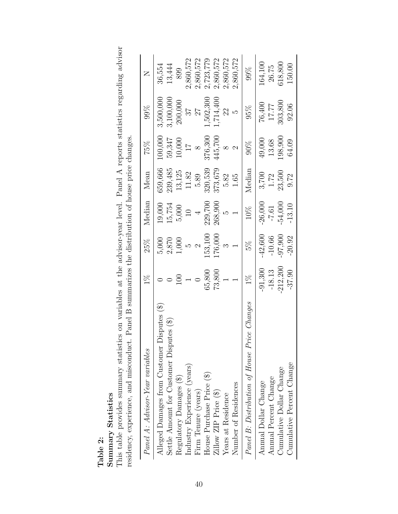|   | ň<br>t.<br>V<br>atis<br>تن<br>30 |
|---|----------------------------------|
| Ń | VJEI<br>Ξ<br>틸<br>Ξ              |

<span id="page-40-0"></span>This table provides summary statistics on variables at the advisor-year level. Panel A reports statistics regarding advisor This table provides summary statistics on variables at the advisor-year level. Panel A reports statistics regarding advisor residency, experience, and misconduct. Panel B summarizes the distribution of house price changes. residency, experience, and misconduct. Panel B summarizes the distribution of house price changes.

| Panel A: Advisor-Year variables                  | $\frac{8}{100}$ | 25%           | Median    | Mean    | 75%             | 99%       | $\geq$    |
|--------------------------------------------------|-----------------|---------------|-----------|---------|-----------------|-----------|-----------|
| $Disputes$ (\$)<br>Alleged Damages from Customer |                 | 5,000         | 19,000    | 359,666 | 00,000          | 3,500,000 | 36,554    |
| Settle Amount for Customer Disputes (\$)         |                 | 2,870         | 15,754    | 239,485 | 59,347          | 3,100,000 | 13,444    |
| Regulatory Damages (\$)                          |                 | 000,1         | 5,000     | 13,125  | 10,000          | 200,000   | 899       |
| Industry Experience (years)                      |                 |               |           | 11.82   | $\overline{11}$ | 26        | 2,860,572 |
| Firm Tenure (years)                              |                 | $\mathcal{C}$ |           | 5.89    | $\infty$        | 77        | 2,860,572 |
| House Purchase Price (\$)                        | 65,800          | 153,100       | 229,700   | 320,539 | 376,300         | .502,300  | 2,723,779 |
| Zillow ZIP Price (\$)                            | 73,800          | 176,000       | 268,900   | 373,679 | 145,700         | ,714,400  | 2,860,572 |
| Years at Residence                               |                 |               | rJ        | 5.82    | $\infty$        | 22        | 2,860,572 |
| Number of Residences                             |                 |               |           | 1.65    |                 | J,        | 2,860,572 |
| Panel B: Distribution of House Price Changes     | $1\%$           | 5%            | $10\%$    | Median  | 90%             | 95%       | 99%       |
| Annual Dollar Change                             | $-91,300$       | $-42,600$     | $-26,000$ | 3,700   | 49,000          | 76,400    | 164,100   |
| Annual Percent Change                            | $-18.13$        | $-10.66$      | $-7.61$   | 1.72    | 13.68           | 17.77     | 26.75     |
| Cumulative Dollar Change                         | $-212,200$      | $-97,900$     | $-54,000$ | 23,500  | .98,900         | 303,800   | 518,800   |
| Cumulative Percent Change                        | $-37.90$        | $-20.92$      | $-13.10$  | 9.72    | 64.09           | 92.06     | 150.00    |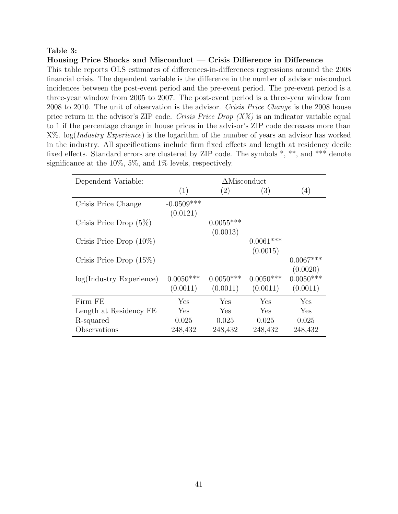## <span id="page-41-0"></span>Table 3:

## Housing Price Shocks and Misconduct — Crisis Difference in Difference

This table reports OLS estimates of differences-in-differences regressions around the 2008 financial crisis. The dependent variable is the difference in the number of advisor misconduct incidences between the post-event period and the pre-event period. The pre-event period is a three-year window from 2005 to 2007. The post-event period is a three-year window from 2008 to 2010. The unit of observation is the advisor. Crisis Price Change is the 2008 house price return in the advisor's ZIP code. Crisis Price Drop  $(X\%)$  is an indicator variable equal to 1 if the percentage change in house prices in the advisor's ZIP code decreases more than X%. log(Industry Experience) is the logarithm of the number of years an advisor has worked in the industry. All specifications include firm fixed effects and length at residency decile fixed effects. Standard errors are clustered by ZIP code. The symbols \*, \*\*, and \*\*\* denote significance at the 10%, 5%, and 1% levels, respectively.

| Dependent Variable:         | $\Delta$ Misconduct      |                         |                         |                         |  |
|-----------------------------|--------------------------|-------------------------|-------------------------|-------------------------|--|
|                             | (1)                      | (2)                     | (3)                     | (4)                     |  |
| Crisis Price Change         | $-0.0509***$<br>(0.0121) |                         |                         |                         |  |
| Crisis Price Drop $(5\%)$   |                          | $0.0055***$<br>(0.0013) |                         |                         |  |
| Crisis Price Drop $(10\%)$  |                          |                         | $0.0061***$<br>(0.0015) |                         |  |
| Crisis Price Drop $(15\%)$  |                          |                         |                         | $0.0067***$<br>(0.0020) |  |
| $log(Industry)$ Experience) | $0.0050***$<br>(0.0011)  | $0.0050***$<br>(0.0011) | $0.0050***$<br>(0.0011) | $0.0050***$<br>(0.0011) |  |
| Firm FE                     | Yes                      | Yes                     | Yes                     | Yes                     |  |
| Length at Residency FE      | Yes                      | Yes                     | Yes                     | Yes                     |  |
| R-squared                   | 0.025                    | 0.025                   | 0.025                   | 0.025                   |  |
| Observations                | 248,432                  | 248,432                 | 248,432                 | 248,432                 |  |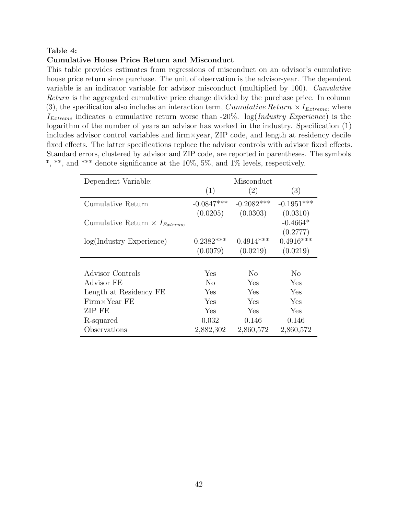## <span id="page-42-0"></span>Table 4:

## Cumulative House Price Return and Misconduct

This table provides estimates from regressions of misconduct on an advisor's cumulative house price return since purchase. The unit of observation is the advisor-year. The dependent variable is an indicator variable for advisor misconduct (multiplied by 100). Cumulative Return is the aggregated cumulative price change divided by the purchase price. In column (3), the specification also includes an interaction term, Cumulative Return  $\times I_{Extreme}$ , where  $I_{Extreme}$  indicates a cumulative return worse than -20%.  $log(Industry)$  Experience) is the logarithm of the number of years an advisor has worked in the industry. Specification (1) includes advisor control variables and firm×year, ZIP code, and length at residency decile fixed effects. The latter specifications replace the advisor controls with advisor fixed effects. Standard errors, clustered by advisor and ZIP code, are reported in parentheses. The symbols  $^*,$  \*\*, and \*\*\* denote significance at the 10%, 5%, and 1% levels, respectively.

| Dependent Variable:                           |              | Misconduct     |              |
|-----------------------------------------------|--------------|----------------|--------------|
|                                               | (1)          | (2)            | (3)          |
| Cumulative Return                             | $-0.0847***$ | $-0.2082***$   | $-0.1951***$ |
|                                               | (0.0205)     | (0.0303)       | (0.0310)     |
| Cumulative Return $\times I_{\text{Extreme}}$ |              |                | $-0.4664*$   |
|                                               |              |                | (0.2777)     |
| $log(Industry)$ Experience)                   | $0.2382***$  | $0.4914***$    | $0.4916***$  |
|                                               | (0.0079)     | (0.0219)       | (0.0219)     |
|                                               |              |                |              |
| Advisor Controls                              | Yes          | N <sub>0</sub> | No           |
| Advisor FE                                    | $\rm No$     | Yes            | Yes          |
| Length at Residency FE                        | Yes          | Yes            | Yes          |
| $Firm\times Year$ FE                          | Yes          | Yes            | Yes          |
| ZIP FE                                        | Yes          | Yes            | Yes          |
| R-squared                                     | 0.032        | 0.146          | 0.146        |
| Observations                                  | 2,882,302    | 2,860,572      | 2,860,572    |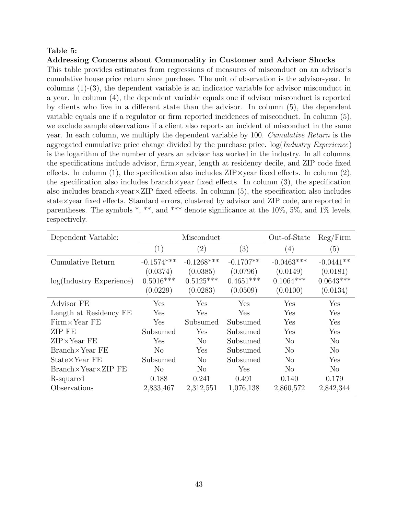### <span id="page-43-0"></span>Table 5:

### Addressing Concerns about Commonality in Customer and Advisor Shocks

This table provides estimates from regressions of measures of misconduct on an advisor's cumulative house price return since purchase. The unit of observation is the advisor-year. In columns (1)-(3), the dependent variable is an indicator variable for advisor misconduct in a year. In column (4), the dependent variable equals one if advisor misconduct is reported by clients who live in a different state than the advisor. In column (5), the dependent variable equals one if a regulator or firm reported incidences of misconduct. In column (5), we exclude sample observations if a client also reports an incident of misconduct in the same year. In each column, we multiply the dependent variable by 100. Cumulative Return is the aggregated cumulative price change divided by the purchase price.  $log(Industry\ Experiment{Experience})$ is the logarithm of the number of years an advisor has worked in the industry. In all columns, the specifications include advisor, firm×year, length at residency decile, and ZIP code fixed effects. In column (1), the specification also includes  $\text{ZIP}\times\text{year}$  fixed effects. In column (2), the specification also includes branch  $\times$ year fixed effects. In column (3), the specification also includes branch $\times$ year $\times$ ZIP fixed effects. In column (5), the specification also includes state×year fixed effects. Standard errors, clustered by advisor and ZIP code, are reported in parentheses. The symbols  $*, **$ , and  $***$  denote significance at the 10%, 5%, and 1% levels, respectively.

| Dependent Variable:                | Misconduct     |                   |             | Out-of-State   | Reg/Firm       |
|------------------------------------|----------------|-------------------|-------------|----------------|----------------|
|                                    | (1)            | $\left( 2\right)$ | (3)         | (4)            | (5)            |
| Cumulative Return                  | $-0.1574***$   | $-0.1268***$      | $-0.1707**$ | $-0.0463***$   | $-0.0441**$    |
|                                    | (0.0374)       | (0.0385)          | (0.0796)    | (0.0149)       | (0.0181)       |
| $log(Industry)$ Experience)        | $0.5016***$    | $0.5125***$       | $0.4651***$ | $0.1064***$    | $0.0643***$    |
|                                    | (0.0229)       | (0.0283)          | (0.0509)    | (0.0100)       | (0.0134)       |
| Advisor FE                         | Yes            | Yes               | Yes         | ${\rm Yes}$    | Yes            |
| Length at Residency FE             | Yes            | Yes               | Yes         | Yes            | Yes            |
| $Firm\times Year$ FE               | Yes            | Subsumed          | Subsumed    | Yes            | Yes            |
| ZIP FE                             | Subsumed       | Yes               | Subsumed    | Yes            | Yes            |
| $ZIP \times Year$ FE               | Yes            | N <sub>o</sub>    | Subsumed    | $\rm No$       | N <sub>o</sub> |
| $Branch \times Year$ FE            | N <sub>o</sub> | Yes               | Subsumed    | N <sub>o</sub> | N <sub>o</sub> |
| State×Year FE                      | Subsumed       | N <sub>o</sub>    | Subsumed    | N <sub>o</sub> | Yes            |
| $Branch \times Year \times ZIP$ FE | No             | N <sub>o</sub>    | Yes         | N <sub>o</sub> | N <sub>o</sub> |
| R-squared                          | 0.188          | 0.241             | 0.491       | 0.140          | 0.179          |
| Observations                       | 2,833,467      | 2,312,551         | 1,076,138   | 2,860,572      | 2,842,344      |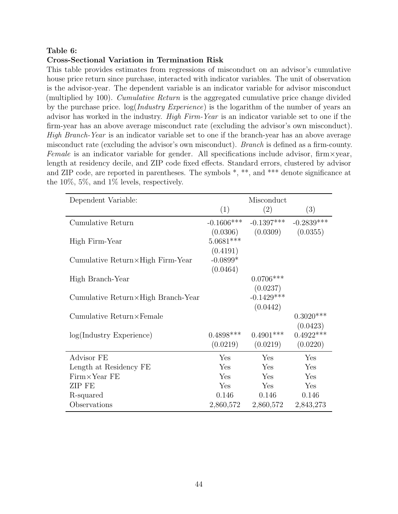## <span id="page-44-0"></span>Table 6:

## Cross-Sectional Variation in Termination Risk

This table provides estimates from regressions of misconduct on an advisor's cumulative house price return since purchase, interacted with indicator variables. The unit of observation is the advisor-year. The dependent variable is an indicator variable for advisor misconduct (multiplied by 100). *Cumulative Return* is the aggregated cumulative price change divided by the purchase price.  $log(Industry\ Experience)$  is the logarithm of the number of years an advisor has worked in the industry. High Firm-Year is an indicator variable set to one if the firm-year has an above average misconduct rate (excluding the advisor's own misconduct). High Branch-Year is an indicator variable set to one if the branch-year has an above average misconduct rate (excluding the advisor's own misconduct). Branch is defined as a firm-county. Female is an indicator variable for gender. All specifications include advisor, firm  $\times$  year, length at residency decile, and ZIP code fixed effects. Standard errors, clustered by advisor and ZIP code, are reported in parentheses. The symbols  $*, **$ , and  $***$  denote significance at the 10%, 5%, and 1% levels, respectively.

| Dependent Variable:                         | Misconduct   |              |              |
|---------------------------------------------|--------------|--------------|--------------|
|                                             | (1)          | (2)          | (3)          |
| Cumulative Return                           | $-0.1606***$ | $-0.1397***$ | $-0.2839***$ |
|                                             | (0.0306)     | (0.0309)     | (0.0355)     |
| High Firm-Year                              | $5.0681***$  |              |              |
|                                             | (0.4191)     |              |              |
| Cumulative Return $\times$ High Firm-Year   | $-0.0899*$   |              |              |
|                                             | (0.0464)     |              |              |
| High Branch-Year                            |              | $0.0706***$  |              |
|                                             |              | (0.0237)     |              |
| Cumulative Return $\times$ High Branch-Year |              | $-0.1429***$ |              |
|                                             |              | (0.0442)     |              |
| $Cumulative$ Return $\times$ Female         |              |              | $0.3020***$  |
|                                             |              |              | (0.0423)     |
| log(Industry Experience)                    | $0.4898***$  | $0.4901***$  | $0.4922***$  |
|                                             | (0.0219)     | (0.0219)     | (0.0220)     |
| Advisor FE                                  | Yes          | Yes          | Yes          |
| Length at Residency FE                      | Yes          | Yes          | Yes          |
| $Firm \times Year$ FE                       | Yes          | Yes          | Yes          |
| ZIP FE                                      | Yes          | Yes          | Yes          |
| R-squared                                   | 0.146        | 0.146        | 0.146        |
| Observations                                | 2,860,572    | 2,860,572    | 2,843,273    |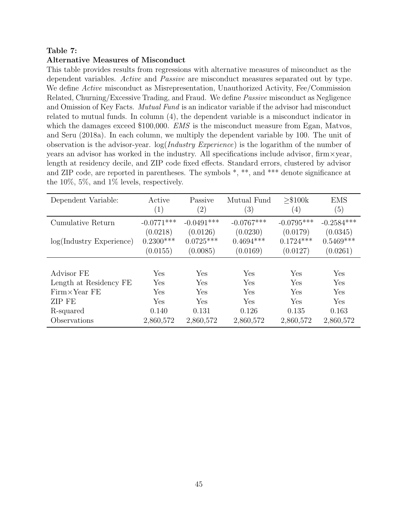# <span id="page-45-0"></span>Table 7:

# Alternative Measures of Misconduct

This table provides results from regressions with alternative measures of misconduct as the dependent variables. Active and Passive are misconduct measures separated out by type. We define Active misconduct as Misrepresentation, Unauthorized Activity, Fee/Commission Related, Churning/Excessive Trading, and Fraud. We define Passive misconduct as Negligence and Omission of Key Facts. *Mutual Fund* is an indicator variable if the advisor had misconduct related to mutual funds. In column (4), the dependent variable is a misconduct indicator in which the damages exceed \$100,000. *EMS* is the misconduct measure from [Egan, Matvos,](#page-31-1) [and Seru](#page-31-1) [\(2018a\)](#page-31-1). In each column, we multiply the dependent variable by 100. The unit of observation is the advisor-year. log(Industry Experience) is the logarithm of the number of years an advisor has worked in the industry. All specifications include advisor, firm×year, length at residency decile, and ZIP code fixed effects. Standard errors, clustered by advisor and ZIP code, are reported in parentheses. The symbols  $*, **$ , and  $***$  denote significance at the 10%, 5%, and 1% levels, respectively.

| Dependent Variable:         | Active<br>$\left( 1\right)$ | Passive<br>$\left( 2\right)$ | Mutual Fund<br>$\left(3\right)$ | > \$100k<br>(4) | <b>EMS</b><br>(5) |
|-----------------------------|-----------------------------|------------------------------|---------------------------------|-----------------|-------------------|
| Cumulative Return           | $-0.0771***$                | $-0.0491***$                 | $-0.0767***$                    | $-0.0795***$    | $-0.2584***$      |
|                             | (0.0218)                    | (0.0126)                     | (0.0230)                        | (0.0179)        | (0.0345)          |
| $log(Industry)$ Experience) | $0.2300***$                 | $0.0725***$                  | $0.4694***$                     | $0.1724***$     | $0.5469***$       |
|                             | (0.0155)                    | (0.0085)                     | (0.0169)                        | (0.0127)        | (0.0261)          |
|                             |                             |                              |                                 |                 |                   |
| Advisor FE                  | Yes                         | Yes                          | Yes                             | Yes             | Yes               |
| Length at Residency FE      | Yes                         | Yes                          | Yes                             | Yes             | Yes               |
| $Firm\times Year$ FE        | Yes                         | Yes                          | Yes                             | Yes             | Yes               |
| ZIP FE                      | Yes                         | Yes                          | Yes                             | Yes             | Yes               |
| R-squared                   | 0.140                       | 0.131                        | 0.126                           | 0.135           | 0.163             |
| Observations                | 2,860,572                   | 2,860,572                    | 2,860,572                       | 2,860,572       | 2,860,572         |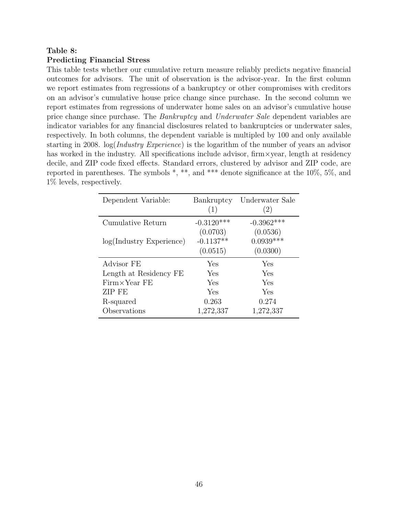## <span id="page-46-0"></span>Table 8:

### Predicting Financial Stress

This table tests whether our cumulative return measure reliably predicts negative financial outcomes for advisors. The unit of observation is the advisor-year. In the first column we report estimates from regressions of a bankruptcy or other compromises with creditors on an advisor's cumulative house price change since purchase. In the second column we report estimates from regressions of underwater home sales on an advisor's cumulative house price change since purchase. The *Bankruptcy* and *Underwater Sale* dependent variables are indicator variables for any financial disclosures related to bankruptcies or underwater sales, respectively. In both columns, the dependent variable is multipled by 100 and only available starting in 2008. log(*Industry Experience*) is the logarithm of the number of years an advisor has worked in the industry. All specifications include advisor,  $\lim x \vee \lim x$ , length at residency decile, and ZIP code fixed effects. Standard errors, clustered by advisor and ZIP code, are reported in parentheses. The symbols \*, \*\*, and \*\*\* denote significance at the 10%, 5%, and 1% levels, respectively.

| Dependent Variable:         | Bankruptcy<br>(1)                   | Underwater Sale<br>(2)              |
|-----------------------------|-------------------------------------|-------------------------------------|
| Cumulative Return           | $-0.3120***$                        | $-0.3962***$                        |
| $log(Industry)$ Experience) | (0.0703)<br>$-0.1137**$<br>(0.0515) | (0.0536)<br>$0.0939***$<br>(0.0300) |
| Advisor FE                  | Yes                                 | Yes                                 |
| Length at Residency FE      | Yes                                 | Yes                                 |
| $Firm \times Year$ FE       | Yes                                 | Yes                                 |
| <b>ZIP FE</b>               | Yes                                 | Yes                                 |
| R-squared                   | 0.263                               | 0.274                               |
| Observations                | 1,272,337                           | 1,272,337                           |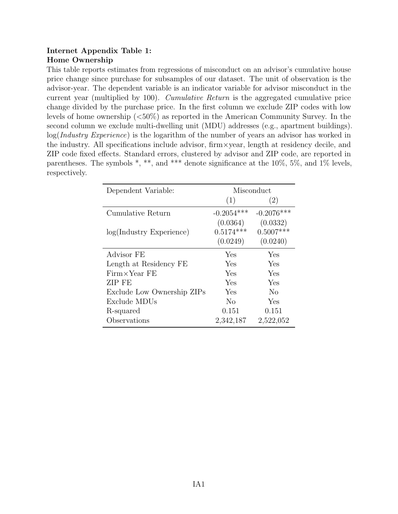# Internet Appendix Table 1: Home Ownership

This table reports estimates from regressions of misconduct on an advisor's cumulative house price change since purchase for subsamples of our dataset. The unit of observation is the advisor-year. The dependent variable is an indicator variable for advisor misconduct in the current year (multiplied by 100). Cumulative Return is the aggregated cumulative price change divided by the purchase price. In the first column we exclude ZIP codes with low levels of home ownership (<50%) as reported in the American Community Survey. In the second column we exclude multi-dwelling unit (MDU) addresses (e.g., apartment buildings). log(*Industry Experience*) is the logarithm of the number of years an advisor has worked in the industry. All specifications include advisor, firm×year, length at residency decile, and ZIP code fixed effects. Standard errors, clustered by advisor and ZIP code, are reported in parentheses. The symbols  $*, **$ , and  $***$  denote significance at the 10%, 5%, and 1% levels, respectively.

| Dependent Variable:         | Misconduct   |              |  |
|-----------------------------|--------------|--------------|--|
|                             | (1)          | (2)          |  |
| Cumulative Return           | $-0.2054***$ | $-0.2076***$ |  |
|                             | (0.0364)     | (0.0332)     |  |
| $log(Industry)$ Experience) | $0.5174***$  | $0.5007***$  |  |
|                             | (0.0249)     | (0.0240)     |  |
| Advisor FE                  | Yes          | Yes          |  |
| Length at Residency FE      | Yes          | Yes          |  |
| $Firm \times Year$ FE       | Yes          | Yes          |  |
| ZIP FE                      | Yes          | Yes          |  |
| Exclude Low Ownership ZIPs  | Yes          | No           |  |
| Exclude MDUs                | No           | Yes          |  |
| R-squared                   | 0.151        | 0.151        |  |
| Observations                | 2,342,187    | 2,522,052    |  |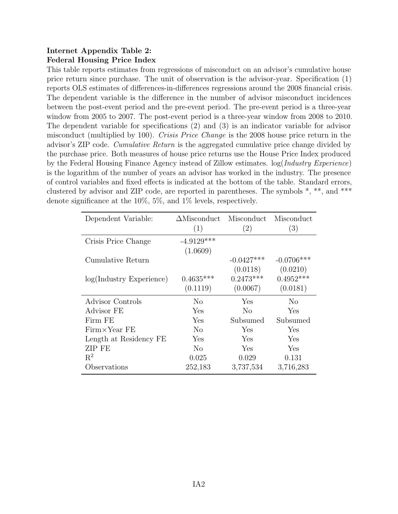# Internet Appendix Table 2: Federal Housing Price Index

This table reports estimates from regressions of misconduct on an advisor's cumulative house price return since purchase. The unit of observation is the advisor-year. Specification (1) reports OLS estimates of differences-in-differences regressions around the 2008 financial crisis. The dependent variable is the difference in the number of advisor misconduct incidences between the post-event period and the pre-event period. The pre-event period is a three-year window from 2005 to 2007. The post-event period is a three-year window from 2008 to 2010. The dependent variable for specifications (2) and (3) is an indicator variable for advisor misconduct (multiplied by 100). Crisis Price Change is the 2008 house price return in the advisor's ZIP code. Cumulative Return is the aggregated cumulative price change divided by the purchase price. Both measures of house price returns use the House Price Index produced by the Federal Housing Finance Agency instead of Zillow estimates. log(Industry Experience) is the logarithm of the number of years an advisor has worked in the industry. The presence of control variables and fixed effects is indicated at the bottom of the table. Standard errors, clustered by advisor and ZIP code, are reported in parentheses. The symbols \*, \*\*, and \*\*\* denote significance at the 10%, 5%, and 1% levels, respectively.

| Dependent Variable:         | $\Delta$ Misconduct | Misconduct   | Misconduct     |
|-----------------------------|---------------------|--------------|----------------|
|                             | (1)                 | (2)          | (3)            |
| Crisis Price Change         | $-4.9129***$        |              |                |
|                             | (1.0609)            |              |                |
| Cumulative Return           |                     | $-0.0427***$ | $-0.0706***$   |
|                             |                     | (0.0118)     | (0.0210)       |
| $log(Industry)$ Experience) | $0.4635***$         | $0.2473***$  | $0.4952***$    |
|                             | (0.1119)            | (0.0067)     | (0.0181)       |
| Advisor Controls            | No                  | Yes          | N <sub>o</sub> |
| Advisor FE                  | Yes                 | $\rm No$     | Yes            |
| Firm FE                     | Yes                 | Subsumed     | Subsumed       |
| $Firm \times Year$ FE       | $\rm No$            | Yes          | Yes            |
| Length at Residency FE      | Yes                 | Yes          | Yes            |
| ZIP FE                      | $\rm No$            | Yes          | Yes            |
| $R^2$                       | 0.025               | 0.029        | 0.131          |
| Observations                | 252,183             | 3,737,534    | 3,716,283      |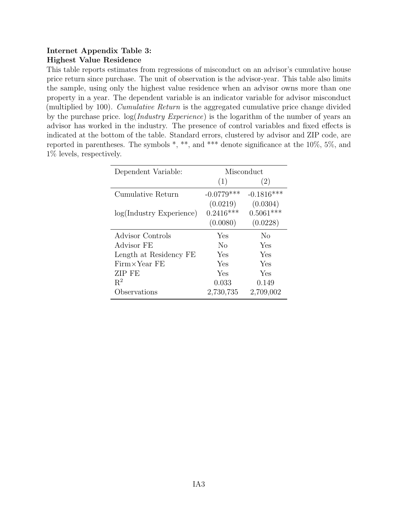# Internet Appendix Table 3: Highest Value Residence

This table reports estimates from regressions of misconduct on an advisor's cumulative house price return since purchase. The unit of observation is the advisor-year. This table also limits the sample, using only the highest value residence when an advisor owns more than one property in a year. The dependent variable is an indicator variable for advisor misconduct (multiplied by 100). Cumulative Return is the aggregated cumulative price change divided by the purchase price. log(Industry Experience) is the logarithm of the number of years an advisor has worked in the industry. The presence of control variables and fixed effects is indicated at the bottom of the table. Standard errors, clustered by advisor and ZIP code, are reported in parentheses. The symbols \*, \*\*, and \*\*\* denote significance at the 10%, 5%, and 1% levels, respectively.

| Dependent Variable:         | Misconduct     |              |  |
|-----------------------------|----------------|--------------|--|
|                             | (1)            | (2)          |  |
| Cumulative Return           | $-0.0779***$   | $-0.1816***$ |  |
|                             | (0.0219)       | (0.0304)     |  |
| $log(Industry)$ Experience) | $0.2416***$    | $0.5061***$  |  |
|                             | (0.0080)       | (0.0228)     |  |
| Advisor Controls            | Yes            | No           |  |
| Advisor FE                  | N <sub>0</sub> | Yes          |  |
| Length at Residency FE      | Yes            | Yes          |  |
| $Firm \times Year$ FE       | Yes            | Yes          |  |
| ZIP FE                      | Yes            | Yes          |  |
| $R^2$                       | 0.033          | 0.149        |  |
| Observations                | 2,730,735      | 2,709,002    |  |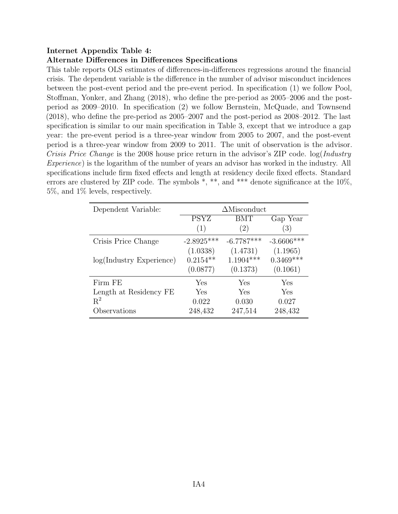# Internet Appendix Table 4:

# Alternate Differences in Differences Specifications

This table reports OLS estimates of differences-in-differences regressions around the financial crisis. The dependent variable is the difference in the number of advisor misconduct incidences between the post-event period and the pre-event period. In specification (1) we follow [Pool,](#page-33-0) [Stoffman, Yonker, and Zhang](#page-33-0) [\(2018\)](#page-33-0), who define the pre-period as 2005–2006 and the postperiod as 2009–2010. In specification (2) we follow [Bernstein, McQuade, and Townsend](#page-30-4) [\(2018\)](#page-30-4), who define the pre-period as 2005–2007 and the post-period as 2008–2012. The last specification is similar to our main specification in Table 3, except that we introduce a gap year: the pre-event period is a three-year window from 2005 to 2007, and the post-event period is a three-year window from 2009 to 2011. The unit of observation is the advisor. Crisis Price Change is the 2008 house price return in the advisor's ZIP code.  $log(Industry)$ Experience) is the logarithm of the number of years an advisor has worked in the industry. All specifications include firm fixed effects and length at residency decile fixed effects. Standard errors are clustered by ZIP code. The symbols  $*, **$ , and  $***$  denote significance at the 10%, 5%, and 1% levels, respectively.

| Dependent Variable:         | $\Delta$ Misconduct |              |              |  |
|-----------------------------|---------------------|--------------|--------------|--|
|                             | <b>PSYZ</b>         | <b>BMT</b>   | Gap Year     |  |
|                             | (1)                 | (2)          | (3)          |  |
| Crisis Price Change         | $-2.8925***$        | $-6.7787***$ | $-3.6606***$ |  |
|                             | (1.0338)            | (1.4731)     | (1.1965)     |  |
| $log(Industry)$ Experience) | $0.2154**$          | $1.1904***$  | $0.3469***$  |  |
|                             | (0.0877)            | (0.1373)     | (0.1061)     |  |
| Firm FE                     | Yes                 | Yes          | Yes          |  |
| Length at Residency FE      | Yes                 | Yes          | Yes          |  |
| $R^2$                       | 0.022               | 0.030        | 0.027        |  |
| Observations                | 248,432             | 247,514      | 248,432      |  |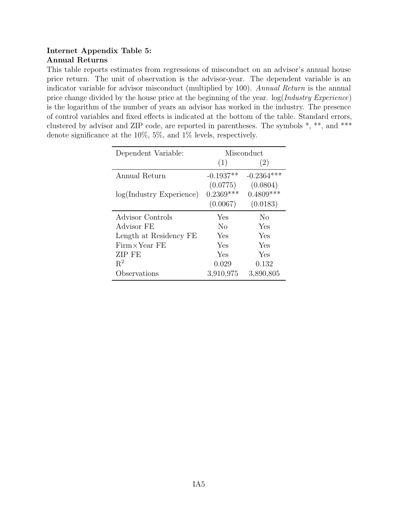# Internet Appendix Table 5: Annual Returns

This table reports estimates from regressions of misconduct on an advisor's annual house price return. The unit of observation is the advisor-year. The dependent variable is an indicator variable for advisor misconduct (multiplied by 100). Annual Return is the annual price change divided by the house price at the beginning of the year.  $log(Industry\ Experience)$ is the logarithm of the number of years an advisor has worked in the industry. The presence of control variables and fixed effects is indicated at the bottom of the table. Standard errors, clustered by advisor and ZIP code, are reported in parentheses. The symbols \*, \*\*, and \*\*\* denote significance at the 10%, 5%, and 1% levels, respectively.

| Dependent Variable:         | Misconduct     |              |  |
|-----------------------------|----------------|--------------|--|
|                             | (1)            | (2)          |  |
| Annual Return               | $-0.1937**$    | $-0.2364***$ |  |
|                             | (0.0775)       | (0.0804)     |  |
| $log(Industry)$ Experience) | $0.2369***$    | $0.4809***$  |  |
|                             | (0.0067)       | (0.0183)     |  |
| Advisor Controls            | Yes            | No           |  |
| Advisor FE                  | N <sub>0</sub> | Yes          |  |
| Length at Residency FE      | Yes            | Yes          |  |
| $Firm \times Year$ FE       | Yes            | Yes          |  |
| ZIP FE                      | Yes            | Yes          |  |
| $R^2$                       | 0.029          | 0.132        |  |
| Observations                | 3,910,975      | 3,890,805    |  |